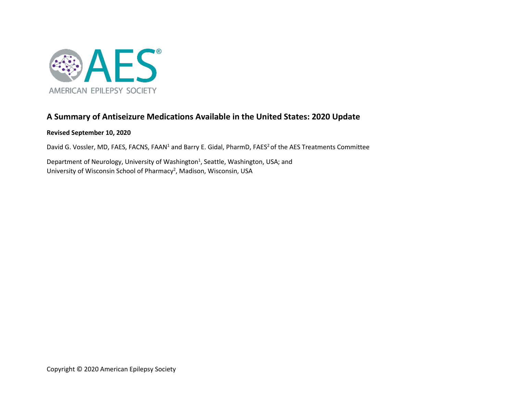

# **A Summary of Antiseizure Medications Available in the United States: 2020 Update**

# **Revised September 10, 2020**

David G. Vossler, MD, FAES, FACNS, FAAN<sup>1</sup> and Barry E. Gidal, PharmD, FAES<sup>2</sup> of the AES Treatments Committee

Department of Neurology, University of Washington<sup>1</sup>, Seattle, Washington, USA; and University of Wisconsin School of Pharmacy<sup>2</sup>, Madison, Wisconsin, USA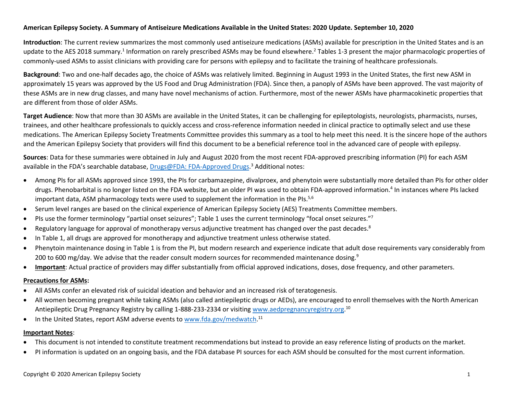# **American Epilepsy Society. A Summary of Antiseizure Medications Available in the United States: 2020 Update. September 10, 2020**

**Introduction**: The current review summarizes the most commonly used antiseizure medications (ASMs) available for prescription in the United States and is an update to the AES 2018 summary[.](#page-28-1)<sup>1</sup> Information on rarely prescribed ASMs may be found elsewhere.<sup>2</sup> Tables 1-3 present the major pharmacologic properties of commonly-used ASMs to assist clinicians with providing care for persons with epilepsy and to facilitate the training of healthcare professionals.

**Background**: Two and one-half decades ago, the choice of ASMs was relatively limited. Beginning in August 1993 in the United States, the first new ASM in approximately 15 years was approved by the US Food and Drug Administration (FDA). Since then, a panoply of ASMs have been approved. The vast majority of these ASMs are in new drug classes, and many have novel mechanisms of action. Furthermore, most of the newer ASMs have pharmacokinetic properties that are different from those of older ASMs.

**Target Audience**: Now that more than 30 ASMs are available in the United States, it can be challenging for epileptologists, neurologists, pharmacists, nurses, trainees, and other healthcare professionals to quickly access and cross-reference information needed in clinical practice to optimally select and use these medications. The American Epilepsy Society Treatments Committee provides this summary as a tool to help meet this need. It is the sincere hope of the authors and the American Epilepsy Society that providers will find this document to be a beneficial reference tool in the advanced care of people with epilepsy.

**Sources**: Data for these summaries were obtained in July and August 2020 from the most recent FDA-approved prescribing information (PI) for each ASM available in the FDA's searchable database, **Drugs@FDA: [FDA-Approved Drugs](https://www.accessdata.fda.gov/scripts/cder/daf/index.cfm)[.](#page-28-2)**<sup>3</sup> Additional notes:

- Among PIs for all ASMs approved since 1993, the PIs for carbamazepine, divalproex, and phenytoin were substantially more detailed than PIs for other older drugs. Phenobarbital is no longer listed on the FDA website, but an older PI was used to obtain FDA-approved information[.](#page-28-3) <sup>4</sup> In instances where PIs lacked important data, ASM pharmacology texts were used to supplement the information in the PIs.<sup>[5,](#page-28-4)[6](#page-28-5)</sup>
- Serum level ranges are based on the clinical experience of American Epilepsy Society (AES) Treatments Committee members.
- PIs use the former terminology "partial onset seizures"; Table 1 uses the current terminology "focal onset seizures.["7](#page-28-6)
- Regulatory language for approval of monotherapy versus adjunctive treatment has changed over the past decades.<sup>[8](#page-28-7)</sup>
- In Table 1, all drugs are approved for monotherapy and adjunctive treatment unless otherwise stated.
- Phenytoin maintenance dosing in Table 1 is from the PI, but modern research and experience indicate that adult dose requirements vary considerably from 200 to 600 mg/day. We advise that the reader consult modern sources for recommended maintenance dosing.<sup>9</sup>
- **Important**: Actual practice of providers may differ substantially from official approved indications, doses, dose frequency, and other parameters.

## **Precautions for ASMs:**

- All ASMs confer an elevated risk of suicidal ideation and behavior and an increased risk of teratogenesis.
- All women becoming pregnant while taking ASMs (also called antiepileptic drugs or AEDs), are encouraged to enroll themselves with the North American Antiepileptic Drug Pregnancy Registry by calling 1-888-233-2334 or visiting [www.aedpregnancyregistry.org.](http://www.aedpregnancyregistry.org/)<sup>[10](#page-28-9)</sup>
- In the United States, report ASM adverse events to [www.fda.gov/medwatch.](http://www.fda.gov/medwatch)<sup>[11](#page-28-10)</sup>

# **Important Notes**:

- This document is not intended to constitute treatment recommendations but instead to provide an easy reference listing of products on the market.
- PI information is updated on an ongoing basis, and the FDA database PI sources for each ASM should be consulted for the most current information.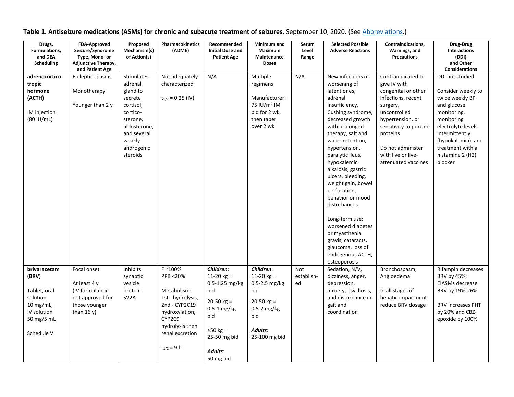| Drugs,<br>Formulations,<br>and DEA<br>Scheduling                                                          | FDA-Approved<br>Seizure/Syndrome<br>Type, Mono- or<br><b>Adjunctive Therapy,</b><br>and Patient Age  | Proposed<br>Mechanism(s)<br>of Action(s)                                                                                                                    | Pharmacokinetics<br>(ADME)                                                                                                                                    | Recommended<br><b>Initial Dose and</b><br><b>Patient Age</b>                                                                                         | Minimum and<br>Maximum<br>Maintenance<br><b>Doses</b>                                                               | Serum<br>Level<br>Range | <b>Selected Possible</b><br><b>Adverse Reactions</b>                                                                                                                                                                                                                                                                                                                                                                                                                                               | Contraindications,<br>Warnings, and<br><b>Precautions</b>                                                                                                                                                                               | Drug-Drug<br><b>Interactions</b><br>(DDI)<br>and Other<br><b>Considerations</b>                                                                                                                                       |
|-----------------------------------------------------------------------------------------------------------|------------------------------------------------------------------------------------------------------|-------------------------------------------------------------------------------------------------------------------------------------------------------------|---------------------------------------------------------------------------------------------------------------------------------------------------------------|------------------------------------------------------------------------------------------------------------------------------------------------------|---------------------------------------------------------------------------------------------------------------------|-------------------------|----------------------------------------------------------------------------------------------------------------------------------------------------------------------------------------------------------------------------------------------------------------------------------------------------------------------------------------------------------------------------------------------------------------------------------------------------------------------------------------------------|-----------------------------------------------------------------------------------------------------------------------------------------------------------------------------------------------------------------------------------------|-----------------------------------------------------------------------------------------------------------------------------------------------------------------------------------------------------------------------|
| adrenocortico-<br>tropic<br>hormone<br>(ACTH)<br>IM injection<br>(80 IU/mL)                               | Epileptic spasms<br>Monotherapy<br>Younger than 2 y                                                  | <b>Stimulates</b><br>adrenal<br>gland to<br>secrete<br>cortisol,<br>cortico-<br>sterone,<br>aldosterone,<br>and several<br>weakly<br>androgenic<br>steroids | Not adequately<br>characterized<br>$t_{1/2} = 0.25$ (IV)                                                                                                      | N/A                                                                                                                                                  | Multiple<br>regimens<br>Manufacturer:<br>75 IU/m <sup>2</sup> IM<br>bid for 2 wk,<br>then taper<br>over 2 wk        | N/A                     | New infections or<br>worsening of<br>latent ones,<br>adrenal<br>insufficiency,<br>Cushing syndrome,<br>decreased growth<br>with prolonged<br>therapy, salt and<br>water retention,<br>hypertension,<br>paralytic ileus,<br>hypokalemic<br>alkalosis, gastric<br>ulcers, bleeding,<br>weight gain, bowel<br>perforation,<br>behavior or mood<br>disturbances<br>Long-term use:<br>worsened diabetes<br>or myasthenia<br>gravis, cataracts,<br>glaucoma, loss of<br>endogenous ACTH,<br>osteoporosis | Contraindicated to<br>give IV with<br>congenital or other<br>infections, recent<br>surgery,<br>uncontrolled<br>hypertension, or<br>sensitivity to porcine<br>proteins<br>Do not administer<br>with live or live-<br>attenuated vaccines | DDI not studied<br>Consider weekly to<br>twice weekly BP<br>and glucose<br>monitoring,<br>monitoring<br>electrolyte levels<br>intermittently<br>(hypokalemia), and<br>treatment with a<br>histamine 2 (H2)<br>blocker |
| brivaracetam<br>(BRV)<br>Tablet, oral<br>solution<br>10 mg/mL,<br>IV solution<br>50 mg/5 mL<br>Schedule V | Focal onset<br>At least 4 y<br>(IV formulation<br>not approved for<br>those younger<br>than $16 y$ ) | Inhibits<br>synaptic<br>vesicle<br>protein<br>SV <sub>2</sub> A                                                                                             | F ~100%<br>PPB <20%<br>Metabolism:<br>1st - hydrolysis,<br>2nd - CYP2C19<br>hydroxylation,<br>CYP2C9<br>hydrolysis then<br>renal excretion<br>$t_{1/2} = 9 h$ | Children:<br>11-20 $kg =$<br>0.5-1.25 mg/kg<br>bid<br>$20-50$ kg =<br>$0.5-1$ mg/kg<br>bid<br>$\geq$ 50 kg =<br>25-50 mg bid<br>Adults:<br>50 mg bid | Children:<br>11-20 $kg =$<br>0.5-2.5 mg/kg<br>bid<br>$20-50$ kg =<br>0.5-2 mg/kg<br>bid<br>Adults:<br>25-100 mg bid | Not<br>establish-<br>ed | Sedation, N/V,<br>dizziness, anger,<br>depression,<br>anxiety, psychosis,<br>and disturbance in<br>gait and<br>coordination                                                                                                                                                                                                                                                                                                                                                                        | Bronchospasm,<br>Angioedema<br>In all stages of<br>hepatic impairment<br>reduce BRV dosage                                                                                                                                              | Rifampin decreases<br>BRV by 45%;<br>EIASMs decrease<br>BRV by 19%-26%<br><b>BRV increases PHT</b><br>by 20% and CBZ-<br>epoxide by 100%                                                                              |

**Table 1. Antiseizure medications (ASMs) for chronic and subacute treatment of seizures.** September 10, 2020. (See [Abbreviations.](#page-26-0))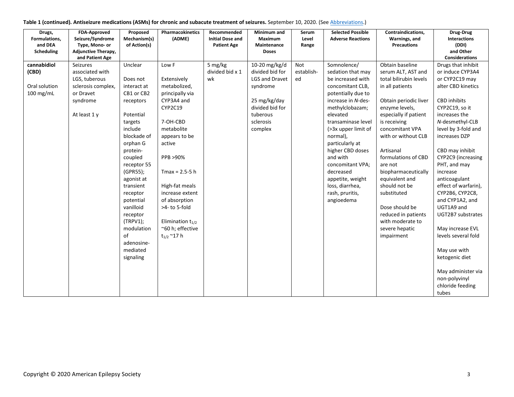| Table 1 (continued). Antiseizure medications (ASMs) for chronic and subacute treatment of seizures. September 10, 2020. (See Abbreviations.) |  |  |  |
|----------------------------------------------------------------------------------------------------------------------------------------------|--|--|--|
|----------------------------------------------------------------------------------------------------------------------------------------------|--|--|--|

| Drugs,        | FDA-Approved        | Proposed     | Pharmacokinetics      | Recommended             | Minimum and     | Serum      | <b>Selected Possible</b> | Contraindications,     | Drug-Drug             |
|---------------|---------------------|--------------|-----------------------|-------------------------|-----------------|------------|--------------------------|------------------------|-----------------------|
| Formulations, | Seizure/Syndrome    | Mechanism(s) | (ADME)                | <b>Initial Dose and</b> | <b>Maximum</b>  | Level      | <b>Adverse Reactions</b> | Warnings, and          | <b>Interactions</b>   |
| and DEA       | Type, Mono- or      | of Action(s) |                       | <b>Patient Age</b>      | Maintenance     | Range      |                          | <b>Precautions</b>     | (DDI)                 |
| Scheduling    | Adjunctive Therapy, |              |                       |                         | <b>Doses</b>    |            |                          |                        | and Other             |
|               | and Patient Age     |              |                       |                         |                 |            |                          |                        | <b>Considerations</b> |
| cannabidiol   | Seizures            | Unclear      | Low F                 | 5 mg/kg                 | 10-20 mg/kg/d   | Not        | Somnolence/              | Obtain baseline        | Drugs that inhibit    |
| (CBD)         | associated with     |              |                       | divided bid x 1         | divided bid for | establish- | sedation that may        | serum ALT, AST and     | or induce CYP3A4      |
|               | LGS, tuberous       | Does not     | Extensively           | wk                      | LGS and Dravet  | ed         | be increased with        | total bilirubin levels | or CYP2C19 may        |
| Oral solution | sclerosis complex,  | interact at  | metabolized,          |                         | syndrome        |            | concomitant CLB,         | in all patients        | alter CBD kinetics    |
| $100$ mg/mL   | or Dravet           | CB1 or CB2   | principally via       |                         |                 |            | potentially due to       |                        |                       |
|               | syndrome            | receptors    | CYP3A4 and            |                         | 25 mg/kg/day    |            | increase in N-des-       | Obtain periodic liver  | <b>CBD</b> inhibits   |
|               |                     |              | CYP2C19               |                         | divided bid for |            | methylclobazam;          | enzyme levels,         | CYP2C19, so it        |
|               | At least 1 y        | Potential    |                       |                         | tuberous        |            | elevated                 | especially if patient  | increases the         |
|               |                     | targets      | 7-OH-CBD              |                         | sclerosis       |            | transaminase level       | is receiving           | N-desmethyl-CLB       |
|               |                     | include      | metabolite            |                         | complex         |            | (>3x upper limit of      | concomitant VPA        | level by 3-fold and   |
|               |                     | blockade of  | appears to be         |                         |                 |            | normal),                 | with or without CLB    | increases DZP         |
|               |                     | orphan G     | active                |                         |                 |            | particularly at          |                        |                       |
|               |                     | protein-     |                       |                         |                 |            | higher CBD doses         | Artisanal              | CBD may inhibit       |
|               |                     | coupled      | PPB >90%              |                         |                 |            | and with                 | formulations of CBD    | CYP2C9 (increasing    |
|               |                     | receptor 55  |                       |                         |                 |            | concomitant VPA;         | are not                | PHT, and may          |
|               |                     | (GPR55);     | $Tmax = 2.5 - 5 h$    |                         |                 |            | decreased                | biopharmaceutically    | increase              |
|               |                     | agonist at   |                       |                         |                 |            | appetite, weight         | equivalent and         | anticoagulant         |
|               |                     | transient    | High-fat meals        |                         |                 |            | loss, diarrhea,          | should not be          | effect of warfarin),  |
|               |                     | receptor     | increase extent       |                         |                 |            | rash, pruritis,          | substituted            | CYP2B6, CYP2C8,       |
|               |                     | potential    | of absorption         |                         |                 |            | angioedema               |                        | and CYP1A2, and       |
|               |                     | vanilloid    | >4- to 5-fold         |                         |                 |            |                          | Dose should be         | UGT1A9 and            |
|               |                     | receptor     |                       |                         |                 |            |                          | reduced in patients    | UGT2B7 substrates     |
|               |                     | (TRPV1);     | Elimination $t_{1/2}$ |                         |                 |            |                          | with moderate to       |                       |
|               |                     | modulation   | ~60 h; effective      |                         |                 |            |                          | severe hepatic         | May increase EVL      |
|               |                     | of           | $t_{1/2}$ ~17 h       |                         |                 |            |                          | impairment             | levels several fold   |
|               |                     | adenosine-   |                       |                         |                 |            |                          |                        |                       |
|               |                     | mediated     |                       |                         |                 |            |                          |                        | May use with          |
|               |                     | signaling    |                       |                         |                 |            |                          |                        | ketogenic diet        |
|               |                     |              |                       |                         |                 |            |                          |                        |                       |
|               |                     |              |                       |                         |                 |            |                          |                        | May administer via    |
|               |                     |              |                       |                         |                 |            |                          |                        | non-polyvinyl         |
|               |                     |              |                       |                         |                 |            |                          |                        | chloride feeding      |
|               |                     |              |                       |                         |                 |            |                          |                        | tubes                 |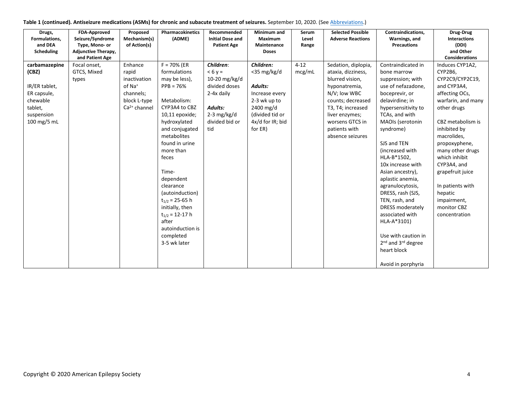|  | Table 1 (continued). Antiseizure medications (ASMs) for chronic and subacute treatment of seizures. September 10, 2020. (See Abbreviations.) |  |
|--|----------------------------------------------------------------------------------------------------------------------------------------------|--|
|--|----------------------------------------------------------------------------------------------------------------------------------------------|--|

| Drugs,<br>Formulations,<br>and DEA                                                                                                  | <b>FDA-Approved</b><br>Seizure/Syndrome<br>Type, Mono- or | Proposed<br>Mechanism(s)<br>of Action(s)                                                              | Pharmacokinetics<br>(ADME)                                                                                                                                                                                                                                                                                                                                                                | Recommended<br><b>Initial Dose and</b><br><b>Patient Age</b>                                                                        | Minimum and<br><b>Maximum</b><br>Maintenance                                                                                                   | Serum<br>Level<br>Range | <b>Selected Possible</b><br><b>Adverse Reactions</b>                                                                                                                                                              | Contraindications,<br>Warnings, and<br><b>Precautions</b>                                                                                                                                                                                                                                                                                                                                                                                                                                                                                   | Drug-Drug<br><b>Interactions</b><br>(DDI)                                                                                                                                                                                                                                                                                                      |
|-------------------------------------------------------------------------------------------------------------------------------------|-----------------------------------------------------------|-------------------------------------------------------------------------------------------------------|-------------------------------------------------------------------------------------------------------------------------------------------------------------------------------------------------------------------------------------------------------------------------------------------------------------------------------------------------------------------------------------------|-------------------------------------------------------------------------------------------------------------------------------------|------------------------------------------------------------------------------------------------------------------------------------------------|-------------------------|-------------------------------------------------------------------------------------------------------------------------------------------------------------------------------------------------------------------|---------------------------------------------------------------------------------------------------------------------------------------------------------------------------------------------------------------------------------------------------------------------------------------------------------------------------------------------------------------------------------------------------------------------------------------------------------------------------------------------------------------------------------------------|------------------------------------------------------------------------------------------------------------------------------------------------------------------------------------------------------------------------------------------------------------------------------------------------------------------------------------------------|
| Scheduling                                                                                                                          | <b>Adjunctive Therapy,</b><br>and Patient Age             |                                                                                                       |                                                                                                                                                                                                                                                                                                                                                                                           |                                                                                                                                     | <b>Doses</b>                                                                                                                                   |                         |                                                                                                                                                                                                                   |                                                                                                                                                                                                                                                                                                                                                                                                                                                                                                                                             | and Other<br><b>Considerations</b>                                                                                                                                                                                                                                                                                                             |
| carbamazepine<br>(CBZ)<br>IR/ER tablet,<br>ER capsule,<br>chewable<br>tablet,<br>suspension<br>$100 \,\mathrm{mg}/5 \,\mathrm{m}$ L | Focal onset,<br>GTCS, Mixed<br>types                      | Enhance<br>rapid<br>inactivation<br>of Na <sup>+</sup><br>channels;<br>block L-type<br>$Ca2+ channel$ | $F = 70%$ (ER<br>formulations<br>may be less),<br>$PPB = 76%$<br>Metabolism:<br>CYP3A4 to CBZ<br>10,11 epoxide;<br>hydroxylated<br>and conjugated<br>metabolites<br>found in urine<br>more than<br>feces<br>Time-<br>dependent<br>clearance<br>(autoinduction)<br>$t_{1/2}$ = 25-65 h<br>initially, then<br>$t_{1/2}$ = 12-17 h<br>after<br>autoinduction is<br>completed<br>3-5 wk later | Children:<br>$< 6y =$<br>10-20 $mg/kg/d$<br>divided doses<br>2-4x daily<br><b>Adults:</b><br>$2-3$ mg/kg/d<br>divided bid or<br>tid | Children:<br>$<$ 35 mg/kg/d<br><b>Adults:</b><br>Increase every<br>2-3 wk up to<br>2400 mg/d<br>(divided tid or<br>4x/d for IR; bid<br>for ER) | $4 - 12$<br>mcg/mL      | Sedation, diplopia,<br>ataxia, dizziness,<br>blurred vision,<br>hyponatremia,<br>N/V; low WBC<br>counts; decreased<br>T3, T4; increased<br>liver enzymes;<br>worsens GTCS in<br>patients with<br>absence seizures | Contraindicated in<br>bone marrow<br>suppression; with<br>use of nefazadone,<br>boceprevir, or<br>delavirdine; in<br>hypersensitivity to<br>TCAs, and with<br>MAOIs (serotonin<br>syndrome)<br>SJS and TEN<br>(increased with<br>HLA-B*1502,<br>10x increase with<br>Asian ancestry),<br>aplastic anemia,<br>agranulocytosis,<br>DRESS, rash (SJS,<br>TEN, rash, and<br><b>DRESS moderately</b><br>associated with<br>HLA-A*3101)<br>Use with caution in<br>2 <sup>nd</sup> and 3 <sup>rd</sup> degree<br>heart block<br>Avoid in porphyria | Induces CYP1A2,<br>CYP2B6,<br>CYP2C9/CYP2C19,<br>and CYP3A4,<br>affecting OCs,<br>warfarin, and many<br>other drugs<br>CBZ metabolism is<br>inhibited by<br>macrolides,<br>propoxyphene,<br>many other drugs<br>which inhibit<br>CYP3A4, and<br>grapefruit juice<br>In patients with<br>hepatic<br>impairment,<br>monitor CBZ<br>concentration |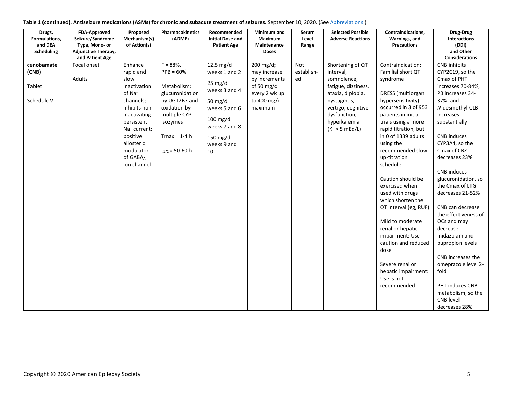| Drugs,<br>Formulations,<br>and DEA<br>Scheduling | <b>FDA-Approved</b><br>Seizure/Syndrome<br>Type, Mono- or<br>Adjunctive Therapy, | Proposed<br>Mechanism(s)<br>of Action(s)                                                                                                                                                                                     | <b>Pharmacokinetics</b><br>(ADME)                                                                                                                                | Recommended<br><b>Initial Dose and</b><br><b>Patient Age</b>                                                                                                           | Minimum and<br>Maximum<br>Maintenance<br><b>Doses</b>                                                 | Serum<br>Level<br>Range | <b>Selected Possible</b><br><b>Adverse Reactions</b>                                                                                                                              | Contraindications,<br>Warnings, and<br><b>Precautions</b>                                                                                                                                                                                                                                                                                                                                                                                                                                                                  | Drug-Drug<br><b>Interactions</b><br>(DDI)<br>and Other                                                                                                                                                                                                                                                                                                                                                                                                                                             |
|--------------------------------------------------|----------------------------------------------------------------------------------|------------------------------------------------------------------------------------------------------------------------------------------------------------------------------------------------------------------------------|------------------------------------------------------------------------------------------------------------------------------------------------------------------|------------------------------------------------------------------------------------------------------------------------------------------------------------------------|-------------------------------------------------------------------------------------------------------|-------------------------|-----------------------------------------------------------------------------------------------------------------------------------------------------------------------------------|----------------------------------------------------------------------------------------------------------------------------------------------------------------------------------------------------------------------------------------------------------------------------------------------------------------------------------------------------------------------------------------------------------------------------------------------------------------------------------------------------------------------------|----------------------------------------------------------------------------------------------------------------------------------------------------------------------------------------------------------------------------------------------------------------------------------------------------------------------------------------------------------------------------------------------------------------------------------------------------------------------------------------------------|
| cenobamate<br>(CNB)<br>Tablet<br>Schedule V      | and Patient Age<br>Focal onset<br>Adults                                         | Enhance<br>rapid and<br>slow<br>inactivation<br>of Na <sup>+</sup><br>channels;<br>inhibits non-<br>inactivating<br>persistent<br>Na <sup>+</sup> current;<br>positive<br>allosteric<br>modulator<br>of GABAA<br>ion channel | $F = 88%$<br>$PPB = 60%$<br>Metabolism:<br>glucuronidation<br>by UGT2B7 and<br>oxidation by<br>multiple CYP<br>isozymes<br>$Tmax = 1-4 h$<br>$t_{1/2}$ = 50-60 h | 12.5 mg/d<br>weeks 1 and 2<br>$25 \text{ mg/d}$<br>weeks 3 and 4<br>50 mg/d<br>weeks 5 and 6<br>$100$ mg/d<br>weeks 7 and 8<br>$150 \text{ mg/d}$<br>weeks 9 and<br>10 | 200 mg/d;<br>may increase<br>by increments<br>of 50 $mg/d$<br>every 2 wk up<br>to 400 mg/d<br>maximum | Not<br>establish-<br>ed | Shortening of QT<br>interval,<br>somnolence,<br>fatigue, dizziness,<br>ataxia, diplopia,<br>nystagmus,<br>vertigo, cognitive<br>dysfunction,<br>hyperkalemia<br>$(K^* > 5 mEq/L)$ | Contraindication:<br>Familial short QT<br>syndrome<br>DRESS (multiorgan<br>hypersensitivity)<br>occurred in 3 of 953<br>patients in initial<br>trials using a more<br>rapid titration, but<br>in 0 of 1339 adults<br>using the<br>recommended slow<br>up-titration<br>schedule<br>Caution should be<br>exercised when<br>used with drugs<br>which shorten the<br>QT interval (eg, RUF)<br>Mild to moderate<br>renal or hepatic<br>impairment: Use<br>caution and reduced<br>dose<br>Severe renal or<br>hepatic impairment: | Considerations<br><b>CNB</b> inhibits<br>CYP2C19, so the<br>Cmax of PHT<br>increases 70-84%,<br>PB increases 34-<br>37%, and<br>N-desmethyl-CLB<br>increases<br>substantially<br>CNB induces<br>CYP3A4, so the<br>Cmax of CBZ<br>decreases 23%<br><b>CNB</b> induces<br>glucuronidation, so<br>the Cmax of LTG<br>decreases 21-52%<br>CNB can decrease<br>the effectiveness of<br>OCs and may<br>decrease<br>midazolam and<br>bupropion levels<br>CNB increases the<br>omeprazole level 2-<br>fold |
|                                                  |                                                                                  |                                                                                                                                                                                                                              |                                                                                                                                                                  |                                                                                                                                                                        |                                                                                                       |                         |                                                                                                                                                                                   | Use is not<br>recommended                                                                                                                                                                                                                                                                                                                                                                                                                                                                                                  | PHT induces CNB<br>metabolism, so the<br><b>CNB</b> level<br>decreases 28%                                                                                                                                                                                                                                                                                                                                                                                                                         |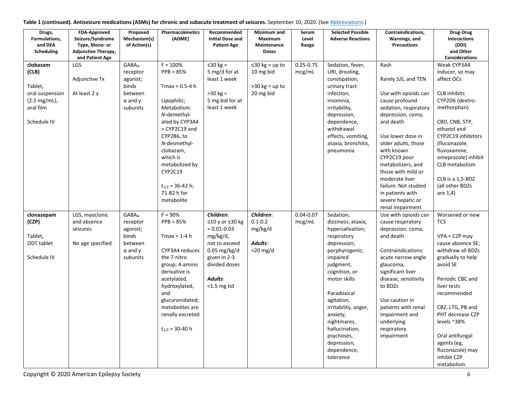| Table 1 (continued). Antiseizure medications (ASMs) for chronic and subacute treatment of seizures. September 10, 2020. (See Abbreviations.) |  |  |
|----------------------------------------------------------------------------------------------------------------------------------------------|--|--|
|----------------------------------------------------------------------------------------------------------------------------------------------|--|--|

| Drugs,<br>Formulations,<br>and DEA<br>Scheduling                                            | <b>FDA-Approved</b><br>Seizure/Syndrome<br>Type, Mono- or<br><b>Adjunctive Therapy,</b><br>and Patient Age | Proposed<br>Mechanism(s)<br>of Action(s)                                                                  | Pharmacokinetics<br>(ADME)                                                                                                                                                                                                                                           | Recommended<br><b>Initial Dose and</b><br><b>Patient Age</b>                                                                                                 | Minimum and<br>Maximum<br>Maintenance<br><b>Doses</b>              | Serum<br>Level<br>Range | <b>Selected Possible</b><br><b>Adverse Reactions</b>                                                                                                                                                                                                                                                                     | Contraindications,<br>Warnings, and<br><b>Precautions</b>                                                                                                                                                                                                                                                                                | Drug-Drug<br>Interactions<br>(DDI)<br>and Other<br><b>Considerations</b>                                                                                                                                                                                                                                       |
|---------------------------------------------------------------------------------------------|------------------------------------------------------------------------------------------------------------|-----------------------------------------------------------------------------------------------------------|----------------------------------------------------------------------------------------------------------------------------------------------------------------------------------------------------------------------------------------------------------------------|--------------------------------------------------------------------------------------------------------------------------------------------------------------|--------------------------------------------------------------------|-------------------------|--------------------------------------------------------------------------------------------------------------------------------------------------------------------------------------------------------------------------------------------------------------------------------------------------------------------------|------------------------------------------------------------------------------------------------------------------------------------------------------------------------------------------------------------------------------------------------------------------------------------------------------------------------------------------|----------------------------------------------------------------------------------------------------------------------------------------------------------------------------------------------------------------------------------------------------------------------------------------------------------------|
| clobazam<br>(CLB)<br>Tablet,<br>oral suspension<br>(2.5 mg/mL),<br>oral film<br>Schedule IV | <b>LGS</b><br>Adjunctive Tx<br>At least 2 y                                                                | <b>GABA</b> <sub>A</sub><br>receptor<br>agonist;<br>binds<br>between<br>$\alpha$ and $\gamma$<br>subunits | $F = 100%$<br>$PPB = 85%$<br>Tmax = 0.5-4 h<br>Lipophilic;<br>Metabolism:<br>N-demethyl-<br>ated by CYP3A4<br>> CYP2C19 and<br>CYP2B6, to<br>N-desmethyl-<br>clobazam,<br>which is<br>metabolized by<br>CYP2C19<br>$t_{1/2}$ = 36-42 h;<br>71-82 h for<br>metabolite | $\leq$ 30 kg =<br>5 mg/d for at<br>least 1 week<br>$>30$ kg =<br>5 mg bid for at<br>least 1 week                                                             | $\leq$ 30 kg = up to<br>10 mg bid<br>$>30$ kg = up to<br>20 mg bid | $0.25 - 0.75$<br>mcg/mL | Sedation, fever,<br>URI, drooling,<br>constipation,<br>urinary tract<br>infection,<br>insomnia,<br>irritability,<br>depression,<br>dependence,<br>withdrawal<br>effects, vomiting,<br>ataxia, bronchitis,<br>pneumonia                                                                                                   | Rash<br>Rarely SJS, and TEN<br>Use with opioids can<br>cause profound<br>sedation, respiratory<br>depression, coma,<br>and death<br>Use lower dose in<br>older adults, those<br>with known<br>CYP2C19 poor<br>metabolizers, and<br>those with mild or<br>moderate liver<br>failure. Not studied<br>in patients with<br>severe hepatic or | Weak CYP3A4<br>inducer, so may<br>affect OCs<br><b>CLB</b> inhibits<br>CYP2D6 (dextro-<br>methorphan)<br>CBD, CNB, STP,<br>ethanol and<br>CYP2C19 inhibitors<br>(fluconazole,<br>fluvoxamine,<br>omeprazole) inhibit<br>CLB metabolism<br>CLB is a 1,5-BDZ<br>(all other BDZs<br>are $1,4)$                    |
| clonazepam<br>(CZP)<br>Tablet,<br>ODT tablet<br>Schedule IV                                 | LGS, myoclonic<br>and absence<br>seizures<br>No age specified                                              | <b>GABA</b> <sub>A</sub><br>receptor<br>agonist;<br>binds<br>between<br>$\alpha$ and $\gamma$<br>subunits | $F = 90%$<br>$PPB = 85%$<br>$Tmax = 1-4 h$<br>CYP3A4 reduces<br>the 7-nitro<br>group; 4-amino<br>derivative is<br>acetylated,<br>hydroxylated,<br>and<br>glucuronidated;<br>metabolites are<br>renally excreted<br>$t_{1/2}$ = 30-40 h                               | Children:<br>≤10 y or ≤30 kg<br>$= 0.01 - 0.03$<br>mg/kg/d,<br>not to exceed<br>$0.05$ mg/kg/d<br>given in 2-3<br>divided doses<br>Adults:<br>$<$ 1.5 mg tid | Children:<br>$0.1 - 0.2$<br>mg/kg/d<br>Adults:<br>$<$ 20 mg/d      | $0.04 - 0.07$<br>mcg/mL | Sedation;<br>dizziness; ataxia,<br>hypersalivation;<br>respiratory<br>depression;<br>porphyrogenic;<br>impaired<br>judgment,<br>cognition, or<br>motor skills<br>Paradoxical<br>agitation,<br>irritability, anger,<br>anxiety,<br>nightmares,<br>hallucination,<br>psychoses,<br>depression,<br>dependence,<br>tolerance | renal impairment<br>Use with opioids can<br>cause respiratory<br>depression, coma,<br>and death<br>Contraindications:<br>acute narrow angle<br>glaucoma,<br>significant liver<br>disease, sensitivity<br>to BDZs<br>Use caution in<br>patients with renal<br>impairment and<br>underlying<br>respiratory<br>impairment                   | Worsened or new<br>TCS<br>VPA + CZP may<br>cause absence SE;<br>withdraw all BDZs<br>gradually to help<br>avoid SE<br>Periodic CBC and<br>liver tests<br>recommended<br>CBZ, LTG, PB and<br>PHT decrease CZP<br>levels ~38%<br>Oral antifungal<br>agents (eg,<br>fluconazole) may<br>inhibit CZP<br>metabolism |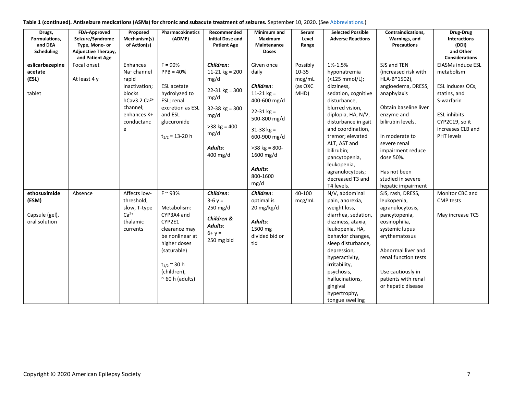| Table 1 (continued). Antiseizure medications (ASMs) for chronic and subacute treatment of seizures. September 10, 2020. (See Abbreviations.) |  |  |  |
|----------------------------------------------------------------------------------------------------------------------------------------------|--|--|--|
|----------------------------------------------------------------------------------------------------------------------------------------------|--|--|--|

| Drugs,<br>Formulations,<br>and DEA<br><b>Scheduling</b>  | FDA-Approved<br>Seizure/Syndrome<br>Type, Mono- or<br><b>Adjunctive Therapy,</b><br>and Patient Age | Proposed<br>Mechanism(s)<br>of Action(s)                                                                                                             | Pharmacokinetics<br>(ADME)                                                                                                                                                                | Recommended<br><b>Initial Dose and</b><br><b>Patient Age</b>                                                                                     | Minimum and<br><b>Maximum</b><br>Maintenance<br><b>Doses</b>                                                                                                                                      | Serum<br>Level<br>Range                        | <b>Selected Possible</b><br><b>Adverse Reactions</b>                                                                                                                                                                                                                                                                        | Contraindications,<br>Warnings, and<br><b>Precautions</b>                                                                                                                                                                                                                           | Drug-Drug<br><b>Interactions</b><br>(DDI)<br>and Other<br><b>Considerations</b>                                                                                             |
|----------------------------------------------------------|-----------------------------------------------------------------------------------------------------|------------------------------------------------------------------------------------------------------------------------------------------------------|-------------------------------------------------------------------------------------------------------------------------------------------------------------------------------------------|--------------------------------------------------------------------------------------------------------------------------------------------------|---------------------------------------------------------------------------------------------------------------------------------------------------------------------------------------------------|------------------------------------------------|-----------------------------------------------------------------------------------------------------------------------------------------------------------------------------------------------------------------------------------------------------------------------------------------------------------------------------|-------------------------------------------------------------------------------------------------------------------------------------------------------------------------------------------------------------------------------------------------------------------------------------|-----------------------------------------------------------------------------------------------------------------------------------------------------------------------------|
| eslicarbazepine<br>acetate<br>(ESL)<br>tablet            | Focal onset<br>At least 4 y                                                                         | Enhances<br>Na <sup>+</sup> channel<br>rapid<br>inactivation;<br>blocks<br>$h$ Cav3.2 Ca <sup>2+</sup><br>channel;<br>enhances K+<br>conductanc<br>e | $F = 90%$<br>$PPB = 40%$<br><b>ESL</b> acetate<br>hydrolyzed to<br>ESL; renal<br>excretion as ESL<br>and ESL<br>glucuronide<br>$t_{1/2}$ = 13-20 h                                        | Children:<br>11-21 $kg = 200$<br>mg/d<br>$22-31$ kg = 300<br>mg/d<br>$32 - 38$ kg = 300<br>mg/d<br>$>38$ kg = 400<br>mg/d<br>Adults:<br>400 mg/d | Given once<br>daily<br>Children:<br>$11-21$ kg =<br>400-600 mg/d<br>$22 - 31$ kg =<br>500-800 mg/d<br>$31-38$ kg =<br>600-900 mg/d<br>$>38$ kg = 800-<br>1600 mg/d<br>Adults:<br>800-1600<br>mg/d | Possibly<br>10-35<br>mcg/mL<br>(as OXC<br>MHD) | 1%-1.5%<br>hyponatremia<br>(<125 mmol/L);<br>dizziness.<br>sedation, cognitive<br>disturbance,<br>blurred vision,<br>diplopia, HA, N/V,<br>disturbance in gait<br>and coordination,<br>tremor; elevated<br>ALT, AST and<br>bilirubin;<br>pancytopenia,<br>leukopenia,<br>agranulocytosis;<br>decreased T3 and<br>T4 levels. | SJS and TEN<br>(increased risk with<br>HLA-B*1502),<br>angioedema, DRESS,<br>anaphylaxis<br>Obtain baseline liver<br>enzyme and<br>bilirubin levels.<br>In moderate to<br>severe renal<br>impairment reduce<br>dose 50%.<br>Has not been<br>studied in severe<br>hepatic impairment | <b>EIASMs induce ESL</b><br>metabolism<br>ESL induces OCs,<br>statins, and<br>S-warfarin<br><b>ESL</b> inhibits<br>CYP2C19, so it<br>increases CLB and<br><b>PHT</b> levels |
| ethosuximide<br>(ESM)<br>Capsule (gel),<br>oral solution | Absence                                                                                             | Affects low-<br>threshold,<br>slow, T-type<br>$Ca2+$<br>thalamic<br>currents                                                                         | $F \sim 93\%$<br>Metabolism:<br>CYP3A4 and<br>CYP2E1<br>clearance may<br>be nonlinear at<br>higher doses<br>(saturable)<br>$t_{1/2} \approx 30$ h<br>(children),<br>$~\sim$ 60 h (adults) | Children:<br>$3-6y =$<br>250 mg/d<br>Children &<br>Adults:<br>$6 + y =$<br>250 mg bid                                                            | Children:<br>optimal is<br>20 mg/kg/d<br>Adults:<br>1500 mg<br>divided bid or<br>tid                                                                                                              | 40-100<br>mcg/mL                               | N/V, abdominal<br>pain, anorexia,<br>weight loss,<br>diarrhea, sedation,<br>dizziness, ataxia,<br>leukopenia, HA,<br>behavior changes,<br>sleep disturbance,<br>depression,<br>hyperactivity,<br>irritability,<br>psychosis,<br>hallucinations,<br>gingival<br>hypertrophy,<br>tongue swelling                              | SJS, rash, DRESS,<br>leukopenia,<br>agranulocytosis,<br>pancytopenia,<br>eosinophilia,<br>systemic lupus<br>erythematosus<br>Abnormal liver and<br>renal function tests<br>Use cautiously in<br>patients with renal<br>or hepatic disease                                           | Monitor CBC and<br><b>CMP</b> tests<br>May increase TCS                                                                                                                     |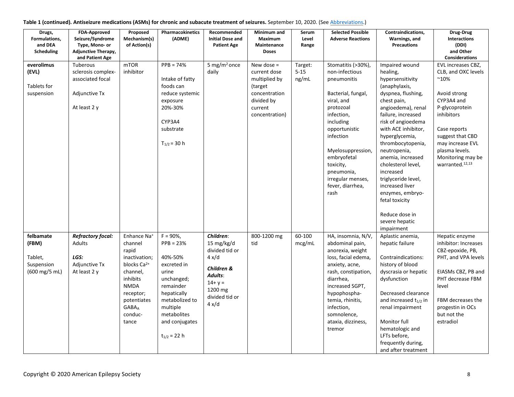| Table 1 (continued). Antiseizure medications (ASMs) for chronic and subacute treatment of seizures. September 10, 2020. (See Abbreviations.) |  |  |
|----------------------------------------------------------------------------------------------------------------------------------------------|--|--|
|----------------------------------------------------------------------------------------------------------------------------------------------|--|--|

| Drugs,<br>Formulations,<br>and DEA<br>Scheduling | <b>FDA-Approved</b><br>Seizure/Syndrome<br>Type, Mono- or<br><b>Adjunctive Therapy,</b><br>and Patient Age | Proposed<br>Mechanism(s)<br>of Action(s) | Pharmacokinetics<br>(ADME) | Recommended<br><b>Initial Dose and</b><br><b>Patient Age</b> | Minimum and<br>Maximum<br>Maintenance<br><b>Doses</b> | Serum<br>Level<br>Range | <b>Selected Possible</b><br><b>Adverse Reactions</b> | Contraindications,<br>Warnings, and<br><b>Precautions</b> | Drug-Drug<br>Interactions<br>(DDI)<br>and Other<br><b>Considerations</b> |
|--------------------------------------------------|------------------------------------------------------------------------------------------------------------|------------------------------------------|----------------------------|--------------------------------------------------------------|-------------------------------------------------------|-------------------------|------------------------------------------------------|-----------------------------------------------------------|--------------------------------------------------------------------------|
| everolimus                                       | Tuberous                                                                                                   | <b>mTOR</b>                              | $PPB = 74%$                | 5 mg/m <sup>2</sup> once                                     | New dose $=$                                          | Target:                 | Stomatitis (>30%),                                   | Impaired wound                                            | EVL increases CBZ,                                                       |
| (EVL)                                            | sclerosis complex-                                                                                         | inhibitor                                |                            | daily                                                        | current dose                                          | $5 - 15$                | non-infectious                                       | healing,                                                  | CLB, and OXC levels                                                      |
|                                                  | associated focal                                                                                           |                                          | Intake of fatty            |                                                              | multiplied by                                         | ng/mL                   | pneumonitis                                          | hypersensitivity                                          | $^{\sim}10\%$                                                            |
| Tablets for                                      |                                                                                                            |                                          | foods can                  |                                                              | (target)                                              |                         |                                                      | (anaphylaxis,                                             |                                                                          |
| suspension                                       | Adjunctive Tx                                                                                              |                                          | reduce systemic            |                                                              | concentration                                         |                         | Bacterial, fungal,                                   | dyspnea, flushing,                                        | Avoid strong                                                             |
|                                                  |                                                                                                            |                                          | exposure                   |                                                              | divided by                                            |                         | viral, and                                           | chest pain,                                               | CYP3A4 and                                                               |
|                                                  | At least 2 y                                                                                               |                                          | 20%-30%                    |                                                              | current                                               |                         | protozoal                                            | angioedema), renal                                        | P-glycoprotein                                                           |
|                                                  |                                                                                                            |                                          |                            |                                                              | concentration)                                        |                         | infection,                                           | failure, increased                                        | inhibitors                                                               |
|                                                  |                                                                                                            |                                          | CYP3A4                     |                                                              |                                                       |                         | including                                            | risk of angioedema                                        |                                                                          |
|                                                  |                                                                                                            |                                          | substrate                  |                                                              |                                                       |                         | opportunistic                                        | with ACE inhibitor,                                       | Case reports                                                             |
|                                                  |                                                                                                            |                                          |                            |                                                              |                                                       |                         | infection                                            | hyperglycemia,                                            | suggest that CBD                                                         |
|                                                  |                                                                                                            |                                          | $T_{1/2}$ = 30 h           |                                                              |                                                       |                         |                                                      | thrombocytopenia,                                         | may increase EVL<br>plasma levels.                                       |
|                                                  |                                                                                                            |                                          |                            |                                                              |                                                       |                         | Myelosuppression,<br>embryofetal                     | neutropenia,<br>anemia, increased                         | Monitoring may be                                                        |
|                                                  |                                                                                                            |                                          |                            |                                                              |                                                       |                         | toxicity,                                            | cholesterol level,                                        | warranted. <sup>12,13</sup>                                              |
|                                                  |                                                                                                            |                                          |                            |                                                              |                                                       |                         | pneumonia,                                           | increased                                                 |                                                                          |
|                                                  |                                                                                                            |                                          |                            |                                                              |                                                       |                         | irregular menses,                                    | triglyceride level,                                       |                                                                          |
|                                                  |                                                                                                            |                                          |                            |                                                              |                                                       |                         | fever, diarrhea,                                     | increased liver                                           |                                                                          |
|                                                  |                                                                                                            |                                          |                            |                                                              |                                                       |                         | rash                                                 | enzymes, embryo-                                          |                                                                          |
|                                                  |                                                                                                            |                                          |                            |                                                              |                                                       |                         |                                                      | fetal toxicity                                            |                                                                          |
|                                                  |                                                                                                            |                                          |                            |                                                              |                                                       |                         |                                                      |                                                           |                                                                          |
|                                                  |                                                                                                            |                                          |                            |                                                              |                                                       |                         |                                                      | Reduce dose in                                            |                                                                          |
|                                                  |                                                                                                            |                                          |                            |                                                              |                                                       |                         |                                                      | severe hepatic                                            |                                                                          |
|                                                  |                                                                                                            |                                          |                            |                                                              |                                                       |                         |                                                      | impairment                                                |                                                                          |
| felbamate                                        | <b>Refractory focal:</b>                                                                                   | Enhance Na <sup>+</sup>                  | $F = 90\%$ ,               | Children:                                                    | 800-1200 mg                                           | 60-100                  | HA, insomnia, N/V,                                   | Aplastic anemia,                                          | Hepatic enzyme                                                           |
| (FBM)                                            | <b>Adults</b>                                                                                              | channel                                  | $PPB = 23%$                | 15 mg/kg/d                                                   | tid                                                   | mcg/mL                  | abdominal pain,                                      | hepatic failure                                           | inhibitor: Increases                                                     |
|                                                  | LGS:                                                                                                       | rapid                                    | 40%-50%                    | divided tid or                                               |                                                       |                         | anorexia, weight                                     |                                                           | CBZ-epoxide, PB,                                                         |
| Tablet,<br>Suspension                            | <b>Adjunctive Tx</b>                                                                                       | inactivation;<br>blocks Ca <sup>2+</sup> | excreted in                | $4 \times d$                                                 |                                                       |                         | loss, facial edema,                                  | Contraindications:<br>history of blood                    | PHT, and VPA levels                                                      |
| (600 mg/5 mL)                                    | At least 2 y                                                                                               | channel,                                 | urine                      | Children &                                                   |                                                       |                         | anxiety, acne,<br>rash, constipation,                | dyscrasia or hepatic                                      | EIASMs CBZ, PB and                                                       |
|                                                  |                                                                                                            | inhibits                                 | unchanged;                 | Adults:                                                      |                                                       |                         | diarrhea,                                            | dysfunction                                               | PHT decrease FBM                                                         |
|                                                  |                                                                                                            | <b>NMDA</b>                              | remainder                  | $14 + y =$                                                   |                                                       |                         | increased SGPT,                                      |                                                           | level                                                                    |
|                                                  |                                                                                                            | receptor;                                | hepatically                | 1200 mg                                                      |                                                       |                         | hypophospha-                                         | Decreased clearance                                       |                                                                          |
|                                                  |                                                                                                            | potentiates                              | metabolized to             | divided tid or                                               |                                                       |                         | temia, rhinitis,                                     | and increased $t_{1/2}$ in                                | FBM decreases the                                                        |
|                                                  |                                                                                                            | <b>GABA</b> <sub>A</sub>                 | multiple                   | $4 \times d$                                                 |                                                       |                         | infection,                                           | renal impairment                                          | progestin in OCs                                                         |
|                                                  |                                                                                                            | conduc-                                  | metabolites                |                                                              |                                                       |                         | somnolence,                                          |                                                           | but not the                                                              |
|                                                  |                                                                                                            | tance                                    | and conjugates             |                                                              |                                                       |                         | ataxia, dizziness,                                   | Monitor full                                              | estradiol                                                                |
|                                                  |                                                                                                            |                                          |                            |                                                              |                                                       |                         | tremor                                               | hematologic and                                           |                                                                          |
|                                                  |                                                                                                            |                                          | $t_{1/2}$ = 22 h           |                                                              |                                                       |                         |                                                      | LFTs before,                                              |                                                                          |
|                                                  |                                                                                                            |                                          |                            |                                                              |                                                       |                         |                                                      | frequently during,                                        |                                                                          |
|                                                  |                                                                                                            |                                          |                            |                                                              |                                                       |                         |                                                      | and after treatment                                       |                                                                          |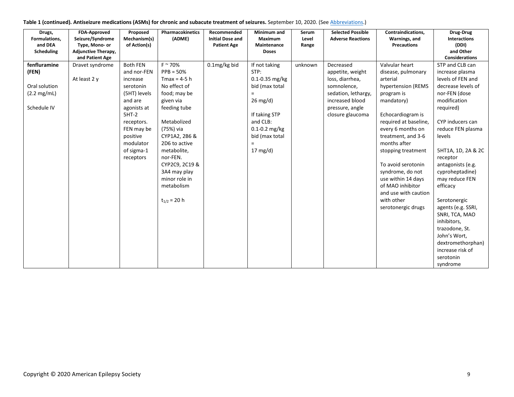| Table 1 (continued). Antiseizure medications (ASMs) for chronic and subacute treatment of seizures. September 10, 2020. (See Abbreviations.) |  |  |  |
|----------------------------------------------------------------------------------------------------------------------------------------------|--|--|--|
|----------------------------------------------------------------------------------------------------------------------------------------------|--|--|--|

| Drugs,<br>Formulations,<br>and DEA<br>Scheduling                               | <b>FDA-Approved</b><br>Seizure/Syndrome<br>Type, Mono- or<br><b>Adjunctive Therapy,</b><br>and Patient Age | Proposed<br>Mechanism(s)<br>of Action(s)                                                                                                                                                     | Pharmacokinetics<br>(ADME)                                                                                                                                                                                                                                                                | Recommended<br><b>Initial Dose and</b><br><b>Patient Age</b> | Minimum and<br>Maximum<br>Maintenance<br><b>Doses</b>                                                                                                                                 | Serum<br>Level<br>Range | <b>Selected Possible</b><br><b>Adverse Reactions</b>                                                                                             | Contraindications,<br>Warnings, and<br><b>Precautions</b>                                                                                                                                                                                                                                                                                                                         | Drug-Drug<br>Interactions<br>(DDI)<br>and Other<br><b>Considerations</b>                                                                                                                                                                                                                                                                                                                                                                 |
|--------------------------------------------------------------------------------|------------------------------------------------------------------------------------------------------------|----------------------------------------------------------------------------------------------------------------------------------------------------------------------------------------------|-------------------------------------------------------------------------------------------------------------------------------------------------------------------------------------------------------------------------------------------------------------------------------------------|--------------------------------------------------------------|---------------------------------------------------------------------------------------------------------------------------------------------------------------------------------------|-------------------------|--------------------------------------------------------------------------------------------------------------------------------------------------|-----------------------------------------------------------------------------------------------------------------------------------------------------------------------------------------------------------------------------------------------------------------------------------------------------------------------------------------------------------------------------------|------------------------------------------------------------------------------------------------------------------------------------------------------------------------------------------------------------------------------------------------------------------------------------------------------------------------------------------------------------------------------------------------------------------------------------------|
| fenfluramine<br>(FEN)<br>Oral solution<br>$(2.2 \text{ mg/mL})$<br>Schedule IV | Dravet syndrome<br>At least 2 v                                                                            | <b>Both FEN</b><br>and nor-FEN<br>increase<br>serotonin<br>(5HT) levels<br>and are<br>agonists at<br>$5HT-2$<br>receptors.<br>FEN may be<br>positive<br>modulator<br>of sigma-1<br>receptors | $F \sim 70\%$<br>$PPB = 50%$<br>Tmax = $4-5$ h<br>No effect of<br>food; may be<br>given via<br>feeding tube<br>Metabolized<br>(75%) via<br>CYP1A2, 2B6 &<br>2D6 to active<br>metabolite,<br>nor-FEN.<br>CYP2C9, 2C19 &<br>3A4 may play<br>minor role in<br>metabolism<br>$t_{1/2}$ = 20 h | 0.1mg/kg bid                                                 | If not taking<br>STP:<br>0.1-0.35 mg/kg<br>bid (max total<br>$=$<br>$26 \text{ mg/d}$<br>If taking STP<br>and CLB:<br>$0.1 - 0.2$ mg/kg<br>bid (max total<br>$=$<br>$17 \text{ mg/d}$ | unknown                 | Decreased<br>appetite, weight<br>loss, diarrhea,<br>somnolence,<br>sedation, lethargy,<br>increased blood<br>pressure, angle<br>closure glaucoma | Valvular heart<br>disease, pulmonary<br>arterial<br>hypertension (REMS<br>program is<br>mandatory)<br>Echocardiogram is<br>required at baseline,<br>every 6 months on<br>treatment, and 3-6<br>months after<br>stopping treatment<br>To avoid serotonin<br>syndrome, do not<br>use within 14 days<br>of MAO inhibitor<br>and use with caution<br>with other<br>serotonergic drugs | STP and CLB can<br>increase plasma<br>levels of FEN and<br>decrease levels of<br>nor-FEN (dose<br>modification<br>required)<br>CYP inducers can<br>reduce FEN plasma<br>levels<br>5HT1A, 1D, 2A & 2C<br>receptor<br>antagonists (e.g.<br>cyproheptadine)<br>may reduce FEN<br>efficacy<br>Serotonergic<br>agents (e.g. SSRI,<br>SNRI, TCA, MAO<br>inhibitors,<br>trazodone, St.<br>John's Wort,<br>dextromethorphan)<br>increase risk of |
|                                                                                |                                                                                                            |                                                                                                                                                                                              |                                                                                                                                                                                                                                                                                           |                                                              |                                                                                                                                                                                       |                         |                                                                                                                                                  |                                                                                                                                                                                                                                                                                                                                                                                   | serotonin<br>syndrome                                                                                                                                                                                                                                                                                                                                                                                                                    |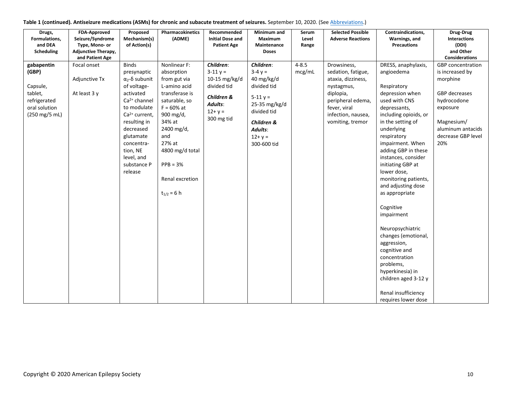|  | Table 1 (continued). Antiseizure medications (ASMs) for chronic and subacute treatment of seizures. September 10, 2020. (See Abbreviations.) |  |
|--|----------------------------------------------------------------------------------------------------------------------------------------------|--|
|--|----------------------------------------------------------------------------------------------------------------------------------------------|--|

| Drugs,<br>Formulations,<br>and DEA<br>Scheduling                                                               | FDA-Approved<br>Seizure/Syndrome<br>Type, Mono- or<br>Adjunctive Therapy,<br>and Patient Age | Proposed<br>Mechanism(s)<br>of Action(s)                                                                                                                                                                                                    | Pharmacokinetics<br>(ADME)                                                                                                                                                                                                                 | Recommended<br><b>Initial Dose and</b><br><b>Patient Age</b>                                                  | Minimum and<br><b>Maximum</b><br>Maintenance<br><b>Doses</b>                                                                                                        | Serum<br>Level<br>Range | <b>Selected Possible</b><br><b>Adverse Reactions</b>                                                                                                              | Contraindications,<br>Warnings, and<br><b>Precautions</b>                                                                                                                                                                                                                                                                                                                                                                                                                                                                                                                           | Drug-Drug<br>Interactions<br>(DDI)<br>and Other<br><b>Considerations</b>                                                                                            |
|----------------------------------------------------------------------------------------------------------------|----------------------------------------------------------------------------------------------|---------------------------------------------------------------------------------------------------------------------------------------------------------------------------------------------------------------------------------------------|--------------------------------------------------------------------------------------------------------------------------------------------------------------------------------------------------------------------------------------------|---------------------------------------------------------------------------------------------------------------|---------------------------------------------------------------------------------------------------------------------------------------------------------------------|-------------------------|-------------------------------------------------------------------------------------------------------------------------------------------------------------------|-------------------------------------------------------------------------------------------------------------------------------------------------------------------------------------------------------------------------------------------------------------------------------------------------------------------------------------------------------------------------------------------------------------------------------------------------------------------------------------------------------------------------------------------------------------------------------------|---------------------------------------------------------------------------------------------------------------------------------------------------------------------|
| gabapentin<br>(GBP)<br>Capsule,<br>tablet,<br>refrigerated<br>oral solution<br>$(250 \text{ mg}/5 \text{ mL})$ | Focal onset<br>Adjunctive Tx<br>At least 3 y                                                 | <b>Binds</b><br>presynaptic<br>$α2 - δ$ subunit<br>of voltage-<br>activated<br>$Ca2+ channel$<br>to modulate<br>$Ca2+ current,$<br>resulting in<br>decreased<br>glutamate<br>concentra-<br>tion, NE<br>level, and<br>substance P<br>release | Nonlinear F:<br>absorption<br>from gut via<br>L-amino acid<br>transferase is<br>saturable, so<br>$F = 60%$ at<br>900 mg/d,<br>34% at<br>2400 mg/d,<br>and<br>27% at<br>4800 mg/d total<br>$PPB = 3%$<br>Renal excretion<br>$t_{1/2} = 6 h$ | Children:<br>$3 - 11y =$<br>10-15 mg/kg/d<br>divided tid<br>Children &<br>Adults:<br>$12 + y =$<br>300 mg tid | Children:<br>$3-4y =$<br>40 mg/kg/d<br>divided tid<br>$5 - 11 y =$<br>25-35 mg/kg/d<br>divided tid<br><b>Children &amp;</b><br>Adults:<br>$12 + y =$<br>300-600 tid | $4 - 8.5$<br>mcg/mL     | Drowsiness,<br>sedation, fatigue,<br>ataxia, dizziness,<br>nystagmus,<br>diplopia,<br>peripheral edema,<br>fever, viral<br>infection, nausea,<br>vomiting, tremor | DRESS, anaphylaxis,<br>angioedema<br>Respiratory<br>depression when<br>used with CNS<br>depressants,<br>including opioids, or<br>in the setting of<br>underlying<br>respiratory<br>impairment. When<br>adding GBP in these<br>instances, consider<br>initiating GBP at<br>lower dose,<br>monitoring patients,<br>and adjusting dose<br>as appropriate<br>Cognitive<br>impairment<br>Neuropsychiatric<br>changes (emotional,<br>aggression,<br>cognitive and<br>concentration<br>problems,<br>hyperkinesia) in<br>children aged 3-12 y<br>Renal insufficiency<br>requires lower dose | <b>GBP</b> concentration<br>is increased by<br>morphine<br>GBP decreases<br>hydrocodone<br>exposure<br>Magnesium/<br>aluminum antacids<br>decrease GBP level<br>20% |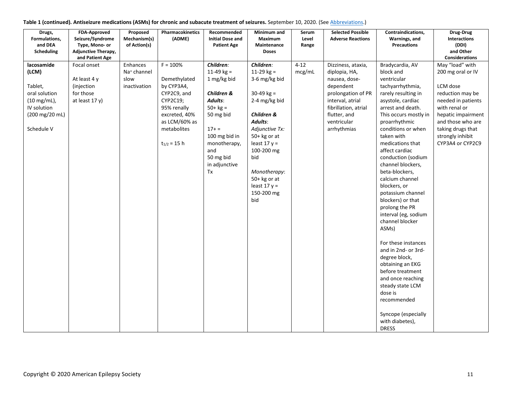| Drugs,<br>Formulations,<br>and DEA<br>Scheduling                                                                         | <b>FDA-Approved</b><br>Seizure/Syndrome<br>Type, Mono- or<br><b>Adjunctive Therapy,</b><br>and Patient Age | Proposed<br>Mechanism(s)<br>of Action(s)                    | Pharmacokinetics<br>(ADME)                                                                                                                              | Recommended<br><b>Initial Dose and</b><br><b>Patient Age</b>                                                                                                                         | Minimum and<br>Maximum<br>Maintenance<br><b>Doses</b>                                                                                                                                                                                                    | Serum<br>Level<br>Range | <b>Selected Possible</b><br><b>Adverse Reactions</b>                                                                                                                              | Contraindications,<br>Warnings, and<br><b>Precautions</b>                                                                                                                                                                                                                                                                                                                                                                                                                                                                                                                                                                                                                                | Drug-Drug<br><b>Interactions</b><br>(DDI)<br>and Other<br><b>Considerations</b>                                                                                                                                     |
|--------------------------------------------------------------------------------------------------------------------------|------------------------------------------------------------------------------------------------------------|-------------------------------------------------------------|---------------------------------------------------------------------------------------------------------------------------------------------------------|--------------------------------------------------------------------------------------------------------------------------------------------------------------------------------------|----------------------------------------------------------------------------------------------------------------------------------------------------------------------------------------------------------------------------------------------------------|-------------------------|-----------------------------------------------------------------------------------------------------------------------------------------------------------------------------------|------------------------------------------------------------------------------------------------------------------------------------------------------------------------------------------------------------------------------------------------------------------------------------------------------------------------------------------------------------------------------------------------------------------------------------------------------------------------------------------------------------------------------------------------------------------------------------------------------------------------------------------------------------------------------------------|---------------------------------------------------------------------------------------------------------------------------------------------------------------------------------------------------------------------|
| lacosamide<br>(LCM)<br>Tablet,<br>oral solution<br>$(10 \text{ mg/mL})$ ,<br>IV solution<br>(200 mg/20 mL)<br>Schedule V | Focal onset<br>At least 4 y<br>(injection<br>for those<br>at least 17 y)                                   | Enhances<br>Na <sup>+</sup> channel<br>slow<br>inactivation | $F = 100%$<br>Demethylated<br>by CYP3A4,<br>CYP2C9, and<br>CYP2C19;<br>95% renally<br>excreted, 40%<br>as LCM/60% as<br>metabolites<br>$t_{1/2} = 15 h$ | Children:<br>$11-49$ kg =<br>1 mg/kg bid<br>Children &<br>Adults:<br>$50 + kg =$<br>50 mg bid<br>$17+ =$<br>100 mg bid in<br>monotherapy,<br>and<br>50 mg bid<br>in adjunctive<br>Tx | Children:<br>$11-29$ kg =<br>3-6 mg/kg bid<br>$30-49$ kg =<br>2-4 mg/kg bid<br>Children &<br>Adults:<br>Adjunctive Tx:<br>$50+$ kg or at<br>least $17 y =$<br>100-200 mg<br>bid<br>Monotherapy:<br>$50+$ kg or at<br>least $17 y =$<br>150-200 mg<br>bid | $4 - 12$<br>mcg/mL      | Dizziness, ataxia,<br>diplopia, HA,<br>nausea, dose-<br>dependent<br>prolongation of PR<br>interval, atrial<br>fibrillation, atrial<br>flutter, and<br>ventricular<br>arrhythmias | Bradycardia, AV<br>block and<br>ventricular<br>tachyarrhythmia,<br>rarely resulting in<br>asystole, cardiac<br>arrest and death.<br>This occurs mostly in<br>proarrhythmic<br>conditions or when<br>taken with<br>medications that<br>affect cardiac<br>conduction (sodium<br>channel blockers,<br>beta-blockers,<br>calcium channel<br>blockers, or<br>potassium channel<br>blockers) or that<br>prolong the PR<br>interval (eg, sodium<br>channel blocker<br>ASMs)<br>For these instances<br>and in 2nd- or 3rd-<br>degree block,<br>obtaining an EKG<br>before treatment<br>and once reaching<br>steady state LCM<br>dose is<br>recommended<br>Syncope (especially<br>with diabetes), | May "load" with<br>200 mg oral or IV<br>LCM dose<br>reduction may be<br>needed in patients<br>with renal or<br>hepatic impairment<br>and those who are<br>taking drugs that<br>strongly inhibit<br>CYP3A4 or CYP2C9 |
|                                                                                                                          |                                                                                                            |                                                             |                                                                                                                                                         |                                                                                                                                                                                      |                                                                                                                                                                                                                                                          |                         |                                                                                                                                                                                   | <b>DRESS</b>                                                                                                                                                                                                                                                                                                                                                                                                                                                                                                                                                                                                                                                                             |                                                                                                                                                                                                                     |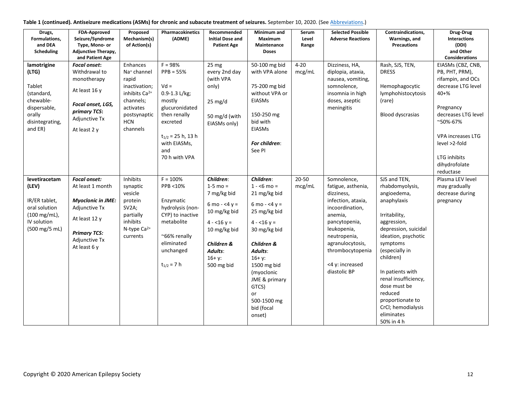| Table 1 (continued). Antiseizure medications (ASMs) for chronic and subacute treatment of seizures. September 10, 2020. (See Abbreviations.) |  |  |
|----------------------------------------------------------------------------------------------------------------------------------------------|--|--|
|----------------------------------------------------------------------------------------------------------------------------------------------|--|--|

| Drugs,<br>Formulations,<br>and DEA<br>Scheduling                                                                  | <b>FDA-Approved</b><br>Seizure/Syndrome<br>Type, Mono- or<br>Adjunctive Therapy,<br>and Patient Age                                                           | Proposed<br>Mechanism(s)<br>of Action(s)                                                                                                      | Pharmacokinetics<br>(ADME)                                                                                                                                                        | Recommended<br><b>Initial Dose and</b><br><b>Patient Age</b>                                                                                                  | Minimum and<br><b>Maximum</b><br>Maintenance<br><b>Doses</b>                                                                                                                                                                                                      | Serum<br>Level<br>Range | <b>Selected Possible</b><br><b>Adverse Reactions</b>                                                                                                                                                                           | Contraindications,<br>Warnings, and<br><b>Precautions</b>                                                                                                                                                                                                                                                                            | Drug-Drug<br><b>Interactions</b><br>(DDI)<br>and Other<br><b>Considerations</b>                                                                                                                                                        |
|-------------------------------------------------------------------------------------------------------------------|---------------------------------------------------------------------------------------------------------------------------------------------------------------|-----------------------------------------------------------------------------------------------------------------------------------------------|-----------------------------------------------------------------------------------------------------------------------------------------------------------------------------------|---------------------------------------------------------------------------------------------------------------------------------------------------------------|-------------------------------------------------------------------------------------------------------------------------------------------------------------------------------------------------------------------------------------------------------------------|-------------------------|--------------------------------------------------------------------------------------------------------------------------------------------------------------------------------------------------------------------------------|--------------------------------------------------------------------------------------------------------------------------------------------------------------------------------------------------------------------------------------------------------------------------------------------------------------------------------------|----------------------------------------------------------------------------------------------------------------------------------------------------------------------------------------------------------------------------------------|
| lamotrigine<br>(LTG)<br>Tablet<br>(standard,<br>chewable-<br>dispersable,<br>orally<br>disintegrating,<br>and ER) | <b>Focal onset:</b><br>Withdrawal to<br>monotherapy<br>At least 16 y<br>Focal onset, LGS,<br>primary TCS:<br>Adjunctive Tx<br>At least 2 y                    | Enhances<br>Na <sup>+</sup> channel<br>rapid<br>inactivation;<br>inhibits $Ca2+$<br>channels;<br>activates<br>postsynaptic<br>HCN<br>channels | $F = 98%$<br>$PPB = 55%$<br>$Vd =$<br>$0.9 - 1.3$ L/kg;<br>mostly<br>glucuronidated<br>then renally<br>excreted<br>$t_{1/2}$ = 25 h, 13 h<br>with EIASMs,<br>and<br>70 h with VPA | 25 mg<br>every 2nd day<br>(with VPA<br>only)<br>$25 \text{ mg/d}$<br>50 mg/d (with<br>EIASMs only)                                                            | 50-100 mg bid<br>with VPA alone<br>75-200 mg bid<br>without VPA or<br><b>EIASMs</b><br>150-250 mg<br>bid with<br>EIASMs<br>For children:<br>See PI                                                                                                                | $4 - 20$<br>mcg/mL      | Dizziness, HA,<br>diplopia, ataxia,<br>nausea, vomiting,<br>somnolence,<br>insomnia in high<br>doses, aseptic<br>meningitis                                                                                                    | Rash, SJS, TEN,<br><b>DRESS</b><br>Hemophagocytic<br>lymphohistocytosis<br>(rare)<br><b>Blood dyscrasias</b>                                                                                                                                                                                                                         | EIASMs (CBZ, CNB,<br>PB, PHT, PRM),<br>rifampin, and OCs<br>decrease LTG level<br>$40 + \%$<br>Pregnancy<br>decreases LTG level<br>~50%-67%<br><b>VPA increases LTG</b><br>level >2-fold<br>LTG inhibits<br>dihydrofolate<br>reductase |
| levetiracetam<br>(LEV)<br>IR/ER tablet,<br>oral solution<br>(100 mg/mL),<br>IV solution<br>(500 mg/5 mL)          | <b>Focal onset:</b><br>At least 1 month<br><b>Myoclonic in JME:</b><br>Adjunctive Tx<br>At least 12 y<br><b>Primary TCS:</b><br>Adjunctive Tx<br>At least 6 y | Inhibits<br>synaptic<br>vesicle<br>protein<br>SV2A;<br>partially<br>inhibits<br>N-type $Ca^{2+}$<br>currents                                  | $F = 100%$<br>PPB <10%<br>Enzymatic<br>hydrolysis (non-<br>CYP) to inactive<br>metabolite<br>~66% renally<br>eliminated<br>unchanged<br>$t_{1/2} = 7 h$                           | Children:<br>$1 - 5$ mo =<br>7 mg/kg bid<br>6 mo - <4 $y =$<br>10 mg/kg bid<br>$4 - 16y =$<br>10 mg/kg bid<br>Children &<br>Adults:<br>$16+ y:$<br>500 mg bid | Children:<br>$1 - 6$ mo =<br>21 mg/kg bid<br>6 mo - <4 $y =$<br>25 mg/kg bid<br>$4 - 16y =$<br>30 mg/kg bid<br><b>Children &amp;</b><br>Adults:<br>$16 + y$ :<br>1500 mg bid<br>(myoclonic<br>JME & primary<br>GTCS)<br>or<br>500-1500 mg<br>bid (focal<br>onset) | $20 - 50$<br>mcg/mL     | Somnolence,<br>fatigue, asthenia,<br>dizziness,<br>infection, ataxia,<br>incoordination,<br>anemia,<br>pancytopenia,<br>leukopenia,<br>neutropenia,<br>agranulocytosis,<br>thrombocytopenia<br><4 y: increased<br>diastolic BP | SJS and TEN,<br>rhabdomyolysis,<br>angioedema,<br>anaphylaxis<br>Irritability,<br>aggression,<br>depression, suicidal<br>ideation, psychotic<br>symptoms<br>(especially in<br>children)<br>In patients with<br>renal insufficiency,<br>dose must be<br>reduced<br>proportionate to<br>CrCl; hemodialysis<br>eliminates<br>50% in 4 h | Plasma LEV level<br>may gradually<br>decrease during<br>pregnancy                                                                                                                                                                      |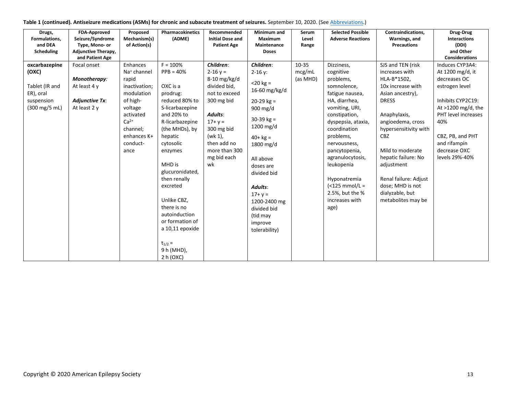| Table 1 (continued). Antiseizure medications (ASMs) for chronic and subacute treatment of seizures. September 10, 2020. (See Abbreviations.) |  |  |  |
|----------------------------------------------------------------------------------------------------------------------------------------------|--|--|--|
|----------------------------------------------------------------------------------------------------------------------------------------------|--|--|--|

| Drugs,<br>Formulations,<br>and DEA<br><b>Scheduling</b>                              | <b>FDA-Approved</b><br>Seizure/Syndrome<br>Type, Mono- or<br><b>Adjunctive Therapy,</b><br>and Patient Age | Proposed<br>Mechanism(s)<br>of Action(s)                                                                                                                                 | <b>Pharmacokinetics</b><br>(ADME)                                                                                                                                                                                                                                                                                                                                    | Recommended<br><b>Initial Dose and</b><br><b>Patient Age</b>                                                                                                                                     | Minimum and<br>Maximum<br>Maintenance<br><b>Doses</b>                                                                                                                                                                                                                                | Serum<br>Level<br>Range     | <b>Selected Possible</b><br><b>Adverse Reactions</b>                                                                                                                                                                                                                                                                              | Contraindications,<br>Warnings, and<br><b>Precautions</b>                                                                                                                                                                                                                                                                              | Drug-Drug<br><b>Interactions</b><br>(DDI)<br>and Other<br><b>Considerations</b>                                                                                                                                        |
|--------------------------------------------------------------------------------------|------------------------------------------------------------------------------------------------------------|--------------------------------------------------------------------------------------------------------------------------------------------------------------------------|----------------------------------------------------------------------------------------------------------------------------------------------------------------------------------------------------------------------------------------------------------------------------------------------------------------------------------------------------------------------|--------------------------------------------------------------------------------------------------------------------------------------------------------------------------------------------------|--------------------------------------------------------------------------------------------------------------------------------------------------------------------------------------------------------------------------------------------------------------------------------------|-----------------------------|-----------------------------------------------------------------------------------------------------------------------------------------------------------------------------------------------------------------------------------------------------------------------------------------------------------------------------------|----------------------------------------------------------------------------------------------------------------------------------------------------------------------------------------------------------------------------------------------------------------------------------------------------------------------------------------|------------------------------------------------------------------------------------------------------------------------------------------------------------------------------------------------------------------------|
| oxcarbazepine<br>(OXC)<br>Tablet (IR and<br>ER), oral<br>suspension<br>(300 mg/5 mL) | Focal onset<br>Monotherapy:<br>At least 4 y<br><b>Adjunctive Tx:</b><br>At least 2 y                       | Enhances<br>Na <sup>+</sup> channel<br>rapid<br>inactivation;<br>modulation<br>of high-<br>voltage<br>activated<br>$Ca2+$<br>channel;<br>enhances K+<br>conduct-<br>ance | $F = 100%$<br>$PPB = 40%$<br>OXC is a<br>prodrug:<br>reduced 80% to<br>S-licarbazepine<br>and 20% to<br>R-licarbazepine<br>(the MHDs), by<br>hepatic<br>cytosolic<br>enzymes<br>MHD is<br>glucuronidated,<br>then renally<br>excreted<br>Unlike CBZ,<br>there is no<br>autoinduction<br>or formation of<br>a 10,11 epoxide<br>$t_{1/2}$ =<br>9 h (MHD),<br>2 h (OXC) | Children:<br>$2 - 16y =$<br>$8-10$ mg/kg/d<br>divided bid,<br>not to exceed<br>300 mg bid<br>Adults:<br>$17 + y =$<br>300 mg bid<br>(wk 1),<br>then add no<br>more than 300<br>mg bid each<br>wk | Children:<br>$2 - 16$ y:<br>$<$ 20 kg =<br>16-60 mg/kg/d<br>$20-29$ kg =<br>900 mg/d<br>$30-39$ kg =<br>1200 mg/d<br>$40+kg =$<br>1800 mg/d<br>All above<br>doses are<br>divided bid<br>Adults:<br>$17 + y =$<br>1200-2400 mg<br>divided bid<br>(tid may<br>improve<br>tolerability) | 10-35<br>mcg/mL<br>(as MHD) | Dizziness,<br>cognitive<br>problems,<br>somnolence,<br>fatigue nausea,<br>HA, diarrhea,<br>vomiting, URI,<br>constipation,<br>dyspepsia, ataxia,<br>coordination<br>problems,<br>nervousness,<br>pancytopenia,<br>agranulocytosis,<br>leukopenia<br>Hyponatremia<br>$<$ 125 mmol/L =<br>2.5%, but the %<br>increases with<br>age) | SJS and TEN (risk<br>increases with<br>HLA-B*1502,<br>10x increase with<br>Asian ancestry),<br><b>DRESS</b><br>Anaphylaxis,<br>angioedema, cross<br>hypersensitivity with<br><b>CBZ</b><br>Mild to moderate<br>hepatic failure: No<br>adjustment<br>Renal failure: Adjust<br>dose; MHD is not<br>dialyzable, but<br>metabolites may be | Induces CYP3A4:<br>At 1200 mg/d, it<br>decreases OC<br>estrogen level<br>Inhibits CYP2C19:<br>At $>1200$ mg/d, the<br>PHT level increases<br>40%<br>CBZ, PB, and PHT<br>and rifampin<br>decrease OXC<br>levels 29%-40% |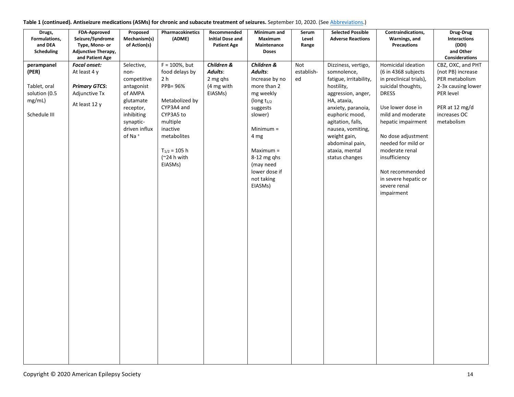| Drugs,<br>Formulations,<br>and DEA                                                                  | FDA-Approved<br>Seizure/Syndrome<br>Type, Mono- or                                                                          | Proposed<br>Mechanism(s)<br>of Action(s)                                                                                                               | Pharmacokinetics<br>(ADME)                                                                                                                                                                   | Recommended<br><b>Initial Dose and</b><br><b>Patient Age</b> | Minimum and<br>Maximum<br>Maintenance                                                                                                                                                                                                       | Serum<br>Level<br>Range | <b>Selected Possible</b><br><b>Adverse Reactions</b>                                                                                                                                                                                                                     | Contraindications,<br>Warnings, and<br><b>Precautions</b>                                                                                                                                                                                                                                                                          | Drug-Drug<br>Interactions<br>(DDI)                                                                                                                       |
|-----------------------------------------------------------------------------------------------------|-----------------------------------------------------------------------------------------------------------------------------|--------------------------------------------------------------------------------------------------------------------------------------------------------|----------------------------------------------------------------------------------------------------------------------------------------------------------------------------------------------|--------------------------------------------------------------|---------------------------------------------------------------------------------------------------------------------------------------------------------------------------------------------------------------------------------------------|-------------------------|--------------------------------------------------------------------------------------------------------------------------------------------------------------------------------------------------------------------------------------------------------------------------|------------------------------------------------------------------------------------------------------------------------------------------------------------------------------------------------------------------------------------------------------------------------------------------------------------------------------------|----------------------------------------------------------------------------------------------------------------------------------------------------------|
|                                                                                                     | and Patient Age                                                                                                             |                                                                                                                                                        |                                                                                                                                                                                              |                                                              |                                                                                                                                                                                                                                             |                         |                                                                                                                                                                                                                                                                          |                                                                                                                                                                                                                                                                                                                                    | <b>Considerations</b>                                                                                                                                    |
| <b>Scheduling</b><br>perampanel<br>(PER)<br>Tablet, oral<br>solution (0.5<br>mg/mL)<br>Schedule III | <b>Adjunctive Therapy,</b><br><b>Focal onset:</b><br>At least 4 y<br><b>Primary GTCS:</b><br>Adjunctive Tx<br>At least 12 y | Selective,<br>non-<br>competitive<br>antagonist<br>of AMPA<br>glutamate<br>receptor,<br>inhibiting<br>synaptic-<br>driven influx<br>of Na <sup>+</sup> | $F = 100\%$ , but<br>food delays by<br>2 h<br>PPB= 96%<br>Metabolized by<br>CYP3A4 and<br>CYP3A5 to<br>multiple<br>inactive<br>metabolites<br>$T_{1/2} = 105 h$<br>$(^224$ h with<br>EIASMs) | Children &<br>Adults:<br>2 mg qhs<br>(4 mg with<br>EIASMs)   | <b>Doses</b><br>Children &<br>Adults:<br>Increase by no<br>more than 2<br>mg weekly<br>(long $t_{1/2}$<br>suggests<br>slower)<br>Minimum $=$<br>4 mg<br>$Maximum =$<br>$8-12$ mg qhs<br>(may need<br>lower dose if<br>not taking<br>EIASMs) | Not<br>establish-<br>ed | Dizziness, vertigo,<br>somnolence,<br>fatigue, irritability,<br>hostility,<br>aggression, anger,<br>HA, ataxia,<br>anxiety, paranoia,<br>euphoric mood,<br>agitation, falls,<br>nausea, vomiting,<br>weight gain,<br>abdominal pain,<br>ataxia, mental<br>status changes | Homicidal ideation<br>(6 in 4368 subjects<br>in preclinical trials),<br>suicidal thoughts,<br><b>DRESS</b><br>Use lower dose in<br>mild and moderate<br>hepatic impairment<br>No dose adjustment<br>needed for mild or<br>moderate renal<br>insufficiency<br>Not recommended<br>in severe hepatic or<br>severe renal<br>impairment | and Other<br>CBZ, OXC, and PHT<br>(not PB) increase<br>PER metabolism<br>2-3x causing lower<br>PER level<br>PER at 12 mg/d<br>increases OC<br>metabolism |
|                                                                                                     |                                                                                                                             |                                                                                                                                                        |                                                                                                                                                                                              |                                                              |                                                                                                                                                                                                                                             |                         |                                                                                                                                                                                                                                                                          |                                                                                                                                                                                                                                                                                                                                    |                                                                                                                                                          |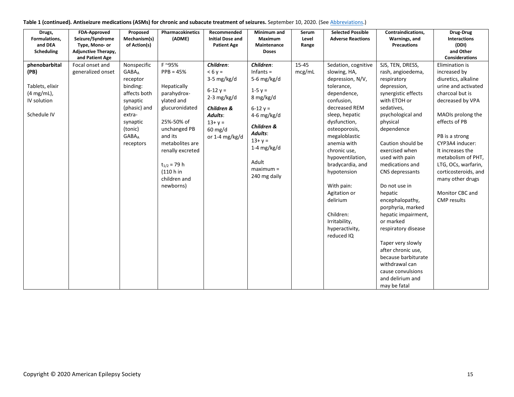| Drugs,            | <b>FDA-Approved</b>        | Proposed                 | Pharmacokinetics | Recommended             | Minimum and   | Serum     | <b>Selected Possible</b> | Contraindications,  | Drug-Drug             |
|-------------------|----------------------------|--------------------------|------------------|-------------------------|---------------|-----------|--------------------------|---------------------|-----------------------|
| Formulations,     | Seizure/Syndrome           | Mechanism(s)             | (ADME)           | <b>Initial Dose and</b> | Maximum       | Level     | <b>Adverse Reactions</b> | Warnings, and       | <b>Interactions</b>   |
| and DEA           | Type, Mono- or             | of Action(s)             |                  | <b>Patient Age</b>      | Maintenance   | Range     |                          | <b>Precautions</b>  | (DDI)                 |
| <b>Scheduling</b> | <b>Adjunctive Therapy,</b> |                          |                  |                         | <b>Doses</b>  |           |                          |                     | and Other             |
|                   | and Patient Age            |                          |                  |                         |               |           |                          |                     | <b>Considerations</b> |
| phenobarbital     | Focal onset and            | Nonspecific              | F ~95%           | Children:               | Children:     | $15 - 45$ | Sedation, cognitive      | SJS, TEN, DRESS,    | Elimination is        |
| (PB)              | generalized onset          | <b>GABA</b> <sub>A</sub> | $PPB = 45%$      | $< 6v =$                | Infants $=$   | mcg/mL    | slowing, HA,             | rash, angioedema,   | increased by          |
|                   |                            | receptor                 |                  | 3-5 mg/kg/d             | 5-6 mg/kg/d   |           | depression, N/V,         | respiratory         | diuretics, alkaline   |
| Tablets, elixir   |                            | binding:                 | Hepatically      | $6 - 12y =$             | $1 - 5y =$    |           | tolerance,               | depression,         | urine and activated   |
| $(4 mg/mL)$ ,     |                            | affects both             | parahydrox-      | $2-3$ mg/kg/d           | 8 mg/kg/d     |           | dependence,              | synergistic effects | charcoal but is       |
| IV solution       |                            | synaptic                 | ylated and       |                         |               |           | confusion,               | with ETOH or        | decreased by VPA      |
|                   |                            | (phasic) and             | glucuronidated   | Children &              | $6 - 12y =$   |           | decreased REM            | sedatives,          |                       |
| Schedule IV       |                            | extra-                   |                  | Adults:                 | 4-6 mg/kg/d   |           | sleep, hepatic           | psychological and   | MAOIs prolong the     |
|                   |                            | synaptic                 | 25%-50% of       | $13 + y =$              | Children &    |           | dysfunction,             | physical            | effects of PB         |
|                   |                            | (tonic)                  | unchanged PB     | $60$ mg/d               | Adults:       |           | osteoporosis,            | dependence          |                       |
|                   |                            | <b>GABA</b> A            | and its          | or 1-4 $mg/kg/d$        | $13 + y =$    |           | megaloblastic            |                     | PB is a strong        |
|                   |                            | receptors                | metabolites are  |                         | 1-4 $mg/kg/d$ |           | anemia with              | Caution should be   | CYP3A4 inducer:       |
|                   |                            |                          | renally excreted |                         |               |           | chronic use,             | exercised when      | It increases the      |
|                   |                            |                          |                  |                         | Adult         |           | hypoventilation,         | used with pain      | metabolism of PHT,    |
|                   |                            |                          | $t_{1/2}$ = 79 h |                         | $maximum =$   |           | bradycardia, and         | medications and     | LTG, OCs, warfarin,   |
|                   |                            |                          | (110 h in        |                         |               |           | hypotension              | CNS depressants     | corticosteroids, and  |
|                   |                            |                          | children and     |                         | 240 mg daily  |           |                          |                     | many other drugs      |
|                   |                            |                          | newborns)        |                         |               |           | With pain:               | Do not use in       |                       |
|                   |                            |                          |                  |                         |               |           | Agitation or             | hepatic             | Monitor CBC and       |
|                   |                            |                          |                  |                         |               |           | delirium                 | encephalopathy,     | <b>CMP</b> results    |
|                   |                            |                          |                  |                         |               |           |                          | porphyria, marked   |                       |
|                   |                            |                          |                  |                         |               |           | Children:                | hepatic impairment, |                       |
|                   |                            |                          |                  |                         |               |           | Irritability,            | or marked           |                       |
|                   |                            |                          |                  |                         |               |           | hyperactivity,           | respiratory disease |                       |
|                   |                            |                          |                  |                         |               |           | reduced IQ               |                     |                       |
|                   |                            |                          |                  |                         |               |           |                          | Taper very slowly   |                       |
|                   |                            |                          |                  |                         |               |           |                          | after chronic use,  |                       |
|                   |                            |                          |                  |                         |               |           |                          | because barbiturate |                       |
|                   |                            |                          |                  |                         |               |           |                          | withdrawal can      |                       |
|                   |                            |                          |                  |                         |               |           |                          | cause convulsions   |                       |
|                   |                            |                          |                  |                         |               |           |                          | and delirium and    |                       |
|                   |                            |                          |                  |                         |               |           |                          | may be fatal        |                       |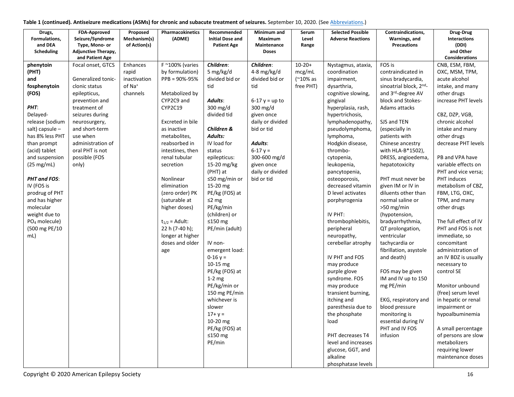| Drugs,                          | <b>FDA-Approved</b>                          | Proposed           | Pharmacokinetics                  | Recommended                   | Minimum and                 | Serum          | <b>Selected Possible</b>          | Contraindications,                    | Drug-Drug                             |
|---------------------------------|----------------------------------------------|--------------------|-----------------------------------|-------------------------------|-----------------------------|----------------|-----------------------------------|---------------------------------------|---------------------------------------|
| Formulations,                   | Seizure/Syndrome                             | Mechanism(s)       | (ADME)                            | <b>Initial Dose and</b>       | Maximum                     | Level          | <b>Adverse Reactions</b>          | Warnings, and<br><b>Precautions</b>   | <b>Interactions</b>                   |
| and DEA<br>Scheduling           | Type, Mono- or<br><b>Adjunctive Therapy,</b> | of Action(s)       |                                   | <b>Patient Age</b>            | Maintenance<br><b>Doses</b> | Range          |                                   |                                       | (DDI)<br>and Other                    |
|                                 | and Patient Age                              |                    |                                   |                               |                             |                |                                   |                                       | <b>Considerations</b>                 |
| phenytoin                       | Focal onset, GTCS                            | Enhances           | $F \sim 100\%$ (varies            | Children:                     | Children:                   | $10-20+$       | Nystagmus, ataxia,                | FOS is                                | CNB, ESM, FBM,                        |
| (PHT)                           |                                              | rapid              | by formulation)                   | 5 mg/kg/d                     | 4-8 mg/kg/d                 | mcg/mL         | coordination                      | contraindicated in                    | OXC, MSM, TPM,                        |
| and                             | Generalized tonic-                           | inactivation       | PPB = 90%-95%                     | divided bid or                | divided bid or              | $(^{210\%}$ as | impairment,                       | sinus bradycardia,                    | acute alcohol                         |
| fosphenytoin                    | clonic status                                | of Na <sup>+</sup> |                                   | tid                           | tid                         | free PHT)      | dysarthria,                       | sinoatrial block, 2nd-                | intake, and many                      |
| (FOS)                           | epilepticus,                                 | channels           | Metabolized by                    |                               |                             |                | cognitive slowing,                | and 3rd-degree AV                     | other drugs                           |
|                                 | prevention and                               |                    | CYP2C9 and                        | Adults:                       | $6 - 17$ y = up to          |                | gingival                          | block and Stokes-                     | increase PHT levels                   |
| PHT:                            | treatment of                                 |                    | <b>CYP2C19</b>                    | 300 mg/d                      | $300 \text{ mg/d}$          |                | hyperplasia, rash,                | Adams attacks                         |                                       |
| Delayed-                        | seizures during                              |                    |                                   | divided tid                   | given once                  |                | hypertrichosis,                   |                                       | CBZ, DZP, VGB,                        |
| release (sodium                 | neurosurgery,                                |                    | Excreted in bile                  |                               | daily or divided            |                | lymphadenopathy,                  | SJS and TEN                           | chronic alcohol                       |
| salt) capsule -                 | and short-term                               |                    | as inactive                       | Children &                    | bid or tid                  |                | pseudolymphoma,                   | (especially in                        | intake and many                       |
| has 8% less PHT                 | use when                                     |                    | metabolites,                      | Adults:<br>IV load for        |                             |                | lymphoma,                         | patients with                         | other drugs                           |
| than prompt                     | administration of<br>oral PHT is not         |                    | reabsorbed in<br>intestines, then | status                        | Adults:<br>$6-17y =$        |                | Hodgkin disease,<br>thrombo-      | Chinese ancestry<br>with HLA-B*1502), | decrease PHT levels                   |
| (acid) tablet<br>and suspension | possible (FOS                                |                    | renal tubular                     | epilepticus:                  | 300-600 mg/d                |                | cytopenia,                        | DRESS, angioedema,                    | PB and VPA have                       |
| $(25 \text{ mg/mL})$            | only)                                        |                    | secretion                         | 15-20 mg/kg                   | given once                  |                | leukopenia,                       | hepatotoxicity                        | variable effects on                   |
|                                 |                                              |                    |                                   | (PHT) at                      | daily or divided            |                | pancytopenia,                     |                                       | PHT and vice versa;                   |
| PHT and FOS:                    |                                              |                    | Nonlinear                         | ≤50 mg/min or                 | bid or tid                  |                | osteoporosis,                     | PHT must never be                     | <b>PHT</b> induces                    |
| IV (FOS is                      |                                              |                    | elimination                       | 15-20 mg                      |                             |                | decreased vitamin                 | given IM or IV in                     | metabolism of CBZ,                    |
| prodrug of PHT                  |                                              |                    | (zero order) PK                   | PE/kg (FOS) at                |                             |                | D level activates                 | diluents other than                   | FBM, LTG, OXC,                        |
| and has higher                  |                                              |                    | (saturable at                     | $\leq$ 2 mg                   |                             |                | porphyrogenia                     | normal saline or                      | TPM, and many                         |
| molecular                       |                                              |                    | higher doses)                     | PE/kg/min                     |                             |                |                                   | $>50$ mg/min                          | other drugs                           |
| weight due to                   |                                              |                    |                                   | (children) or                 |                             |                | IV PHT:                           | (hypotension,                         |                                       |
| PO <sub>4</sub> molecule)       |                                              |                    | $t_{1/2}$ = Adult:                | $≤150$ mg                     |                             |                | thrombophlebitis,                 | bradyarrhythmia,                      | The full effect of IV                 |
| (500 mg PE/10                   |                                              |                    | 22 h (7-40 h);                    | PE/min (adult)                |                             |                | peripheral                        | QT prolongation,                      | PHT and FOS is not                    |
| mL)                             |                                              |                    | longer at higher                  |                               |                             |                | neuropathy,                       | ventricular                           | immediate, so                         |
|                                 |                                              |                    | doses and older                   | IV non-                       |                             |                | cerebellar atrophy                | tachycardia or                        | concomitant                           |
|                                 |                                              |                    | age                               | emergent load:                |                             |                |                                   | fibrillation, asystole                | administration of                     |
|                                 |                                              |                    |                                   | $0-16 y =$                    |                             |                | IV PHT and FOS                    | and death)                            | an IV BDZ is usually                  |
|                                 |                                              |                    |                                   | 10-15 $mg$                    |                             |                | may produce                       |                                       | necessary to                          |
|                                 |                                              |                    |                                   | PE/kg (FOS) at                |                             |                | purple glove                      | FOS may be given                      | control SE                            |
|                                 |                                              |                    |                                   | $1-2$ mg                      |                             |                | syndrome. FOS                     | IM and IV up to 150                   |                                       |
|                                 |                                              |                    |                                   | PE/kg/min or<br>150 mg PE/min |                             |                | may produce<br>transient burning, | mg PE/min                             | Monitor unbound<br>(free) serum level |
|                                 |                                              |                    |                                   | whichever is                  |                             |                | itching and                       | EKG, respiratory and                  | in hepatic or renal                   |
|                                 |                                              |                    |                                   | slower                        |                             |                | paresthesia due to                | blood pressure                        | impairment or                         |
|                                 |                                              |                    |                                   | $17 + y =$                    |                             |                | the phosphate                     | monitoring is                         | hypoalbuminemia                       |
|                                 |                                              |                    |                                   | 10-20 mg                      |                             |                | load                              | essential during IV                   |                                       |
|                                 |                                              |                    |                                   | PE/kg (FOS) at                |                             |                |                                   | PHT and IV FOS                        | A small percentage                    |
|                                 |                                              |                    |                                   | ≤150 $mg$                     |                             |                | PHT decreases T4                  | infusion                              | of persons are slow                   |
|                                 |                                              |                    |                                   | PE/min                        |                             |                | level and increases               |                                       | metabolizers                          |
|                                 |                                              |                    |                                   |                               |                             |                | glucose, GGT, and                 |                                       | requiring lower                       |
|                                 |                                              |                    |                                   |                               |                             |                | alkaline                          |                                       | maintenance doses                     |
|                                 |                                              |                    |                                   |                               |                             |                | phosphatase levels                |                                       |                                       |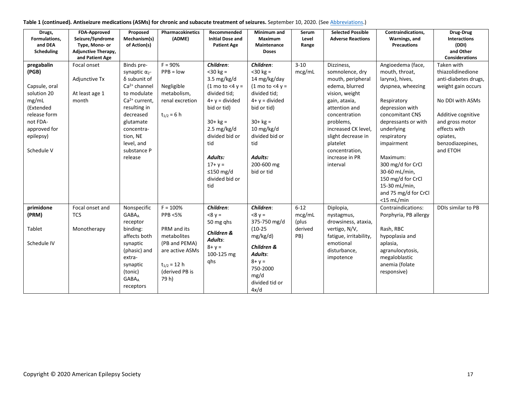| Table 1 (continued). Antiseizure medications (ASMs) for chronic and subacute treatment of seizures. September 10, 2020. (See Abbreviations.) |  |  |  |
|----------------------------------------------------------------------------------------------------------------------------------------------|--|--|--|
|----------------------------------------------------------------------------------------------------------------------------------------------|--|--|--|

| Drugs,<br>Formulations,<br>and DEA<br>Scheduling                                                                                                 | <b>FDA-Approved</b><br>Seizure/Syndrome<br>Type, Mono- or<br>Adjunctive Therapy,<br>and Patient Age | Proposed<br>Mechanism(s)<br>of Action(s)                                                                                                                                                                                      | Pharmacokinetics<br>(ADME)                                                                                                                       | Recommended<br><b>Initial Dose and</b><br><b>Patient Age</b>                                                                                                                                                                                                       | Minimum and<br>Maximum<br>Maintenance<br><b>Doses</b>                                                                                                                                                                          | Serum<br>Level<br>Range                       | <b>Selected Possible</b><br><b>Adverse Reactions</b>                                                                                                                                                                                                            | Contraindications,<br>Warnings, and<br><b>Precautions</b>                                                                                                                                                                                                                                                                           | Drug-Drug<br><b>Interactions</b><br>(DDI)<br>and Other<br><b>Considerations</b>                                                                                                                        |
|--------------------------------------------------------------------------------------------------------------------------------------------------|-----------------------------------------------------------------------------------------------------|-------------------------------------------------------------------------------------------------------------------------------------------------------------------------------------------------------------------------------|--------------------------------------------------------------------------------------------------------------------------------------------------|--------------------------------------------------------------------------------------------------------------------------------------------------------------------------------------------------------------------------------------------------------------------|--------------------------------------------------------------------------------------------------------------------------------------------------------------------------------------------------------------------------------|-----------------------------------------------|-----------------------------------------------------------------------------------------------------------------------------------------------------------------------------------------------------------------------------------------------------------------|-------------------------------------------------------------------------------------------------------------------------------------------------------------------------------------------------------------------------------------------------------------------------------------------------------------------------------------|--------------------------------------------------------------------------------------------------------------------------------------------------------------------------------------------------------|
| pregabalin<br>(PGB)<br>Capsule, oral<br>solution 20<br>mg/mL<br>(Extended<br>release form<br>not FDA-<br>approved for<br>epilepsy)<br>Schedule V | Focal onset<br>Adjunctive Tx<br>At least age 1<br>month                                             | Binds pre-<br>synaptic $\alpha_2$ -<br>δ subunit of<br>$Ca2+ channel$<br>to modulate<br>Ca <sup>2+</sup> current,<br>resulting in<br>decreased<br>glutamate<br>concentra-<br>tion, NE<br>level, and<br>substance P<br>release | $F = 90%$<br>$PPB = low$<br>Negligible<br>metabolism,<br>renal excretion<br>$t_{1/2} = 6 h$                                                      | Children:<br>$<$ 30 kg =<br>3.5 $mg/kg/d$<br>$(1 \text{ mo to } 4 \text{ y} =$<br>divided tid;<br>$4 + y = divided$<br>bid or tid)<br>$30 + kg =$<br>$2.5 \text{ mg/kg/d}$<br>divided bid or<br>tid<br>Adults:<br>$17 + y =$<br>≤150 mg/d<br>divided bid or<br>tid | Children:<br>$<$ 30 kg =<br>14 mg/kg/day<br>$(1 \text{ mo to } 4 \text{ v} =$<br>divided tid;<br>$4 + y =$ divided<br>bid or tid)<br>$30 + kg =$<br>10 mg/kg/d<br>divided bid or<br>tid<br>Adults:<br>200-600 mg<br>bid or tid | $3 - 10$<br>mcg/mL                            | Dizziness,<br>somnolence, dry<br>mouth, peripheral<br>edema, blurred<br>vision, weight<br>gain, ataxia,<br>attention and<br>concentration<br>problems,<br>increased CK level,<br>slight decrease in<br>platelet<br>concentration,<br>increase in PR<br>interval | Angioedema (face,<br>mouth, throat,<br>larynx), hives,<br>dyspnea, wheezing<br>Respiratory<br>depression with<br>concomitant CNS<br>depressants or with<br>underlying<br>respiratory<br>impairment<br>Maximum:<br>300 mg/d for CrCl<br>30-60 mL/min,<br>150 mg/d for CrCl<br>15-30 mL/min,<br>and 75 mg/d for CrCl<br>$<$ 15 mL/min | Taken with<br>thiazolidinedione<br>anti-diabetes drugs,<br>weight gain occurs<br>No DDI with ASMs<br>Additive cognitive<br>and gross motor<br>effects with<br>opiates,<br>benzodiazepines,<br>and ETOH |
| primidone<br>(PRM)<br>Tablet<br>Schedule IV                                                                                                      | Focal onset and<br><b>TCS</b><br>Monotherapy                                                        | Nonspecific<br><b>GABA</b> <sub>A</sub><br>receptor<br>binding:<br>affects both<br>synaptic<br>(phasic) and<br>extra-<br>synaptic<br>(tonic)<br><b>GABA</b> <sub>A</sub><br>receptors                                         | $F = 100%$<br><b>PPB &lt;5%</b><br>PRM and its<br>metabolites<br>(PB and PEMA)<br>are active ASMs<br>$t_{1/2} = 12 h$<br>(derived PB is<br>79 h) | Children:<br>$-8y =$<br>50 mg ghs<br>Children &<br>Adults:<br>$8 + y =$<br>100-125 mg<br>qhs                                                                                                                                                                       | Children:<br>$-8y =$<br>375-750 mg/d<br>$(10-25)$<br>mg/kg/d)<br>Children &<br>Adults:<br>$8 + y =$<br>750-2000<br>mg/d<br>divided tid or<br>4x/d                                                                              | $6 - 12$<br>mcg/mL<br>(plus<br>derived<br>PB) | Diplopia,<br>nystagmus,<br>drowsiness, ataxia,<br>vertigo, N/V,<br>fatigue, irritability,<br>emotional<br>disturbance,<br>impotence                                                                                                                             | Contraindications:<br>Porphyria, PB allergy<br>Rash, RBC<br>hypoplasia and<br>aplasia,<br>agranulocytosis,<br>megaloblastic<br>anemia (folate<br>responsive)                                                                                                                                                                        | <b>DDIs similar to PB</b>                                                                                                                                                                              |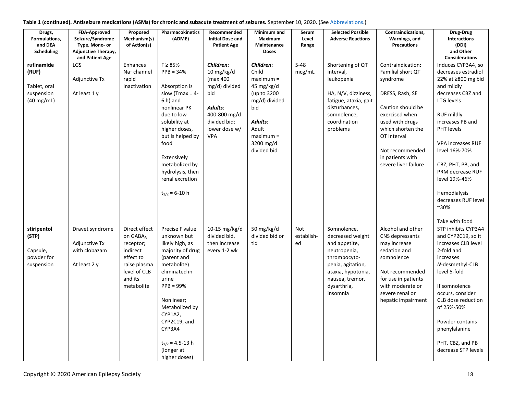| Table 1 (continued). Antiseizure medications (ASMs) for chronic and subacute treatment of seizures. September 10, 2020. (See Abbreviations.) |  |  |
|----------------------------------------------------------------------------------------------------------------------------------------------|--|--|
|----------------------------------------------------------------------------------------------------------------------------------------------|--|--|

| Drugs,<br>Formulations,<br>and DEA<br>Scheduling                          | <b>FDA-Approved</b><br>Seizure/Syndrome<br>Type, Mono- or<br>Adjunctive Therapy,<br>and Patient Age | Proposed<br>Mechanism(s)<br>of Action(s)                                                                                 | Pharmacokinetics<br>(ADME)                                                                                                                                                                                                                                                    | Recommended<br><b>Initial Dose and</b><br><b>Patient Age</b>                                                                            | Minimum and<br>Maximum<br>Maintenance<br><b>Doses</b>                                                                                                 | Serum<br>Level<br>Range        | <b>Selected Possible</b><br><b>Adverse Reactions</b>                                                                                                                      | Contraindications,<br>Warnings, and<br><b>Precautions</b>                                                                                                                                                                                 | Drug-Drug<br>Interactions<br>(DDI)<br>and Other<br><b>Considerations</b>                                                                                                                                                                                                                                                                                  |
|---------------------------------------------------------------------------|-----------------------------------------------------------------------------------------------------|--------------------------------------------------------------------------------------------------------------------------|-------------------------------------------------------------------------------------------------------------------------------------------------------------------------------------------------------------------------------------------------------------------------------|-----------------------------------------------------------------------------------------------------------------------------------------|-------------------------------------------------------------------------------------------------------------------------------------------------------|--------------------------------|---------------------------------------------------------------------------------------------------------------------------------------------------------------------------|-------------------------------------------------------------------------------------------------------------------------------------------------------------------------------------------------------------------------------------------|-----------------------------------------------------------------------------------------------------------------------------------------------------------------------------------------------------------------------------------------------------------------------------------------------------------------------------------------------------------|
| rufinamide<br>(RUF)<br>Tablet, oral<br>suspension<br>$(40 \text{ mg/mL})$ | LGS<br>Adjunctive Tx<br>At least 1 y                                                                | Enhances<br>Na <sup>+</sup> channel<br>rapid<br>inactivation                                                             | $F \geq 85\%$<br>$PPB = 34%$<br>Absorption is<br>slow (Tmax = $4-$<br>$6 h$ ) and<br>nonlinear PK<br>due to low<br>solubility at<br>higher doses,<br>but is helped by<br>food<br>Extensively<br>metabolized by<br>hydrolysis, then<br>renal excretion<br>$t_{1/2} = 6 - 10$ h | Children:<br>10 $mg/kg/d$<br>(max 400<br>mg/d) divided<br>bid<br>Adults:<br>400-800 mg/d<br>divided bid;<br>lower dose w/<br><b>VPA</b> | Children:<br>Child<br>$maximum =$<br>45 mg/kg/d<br>(up to 3200<br>mg/d) divided<br>bid<br>Adults:<br>Adult<br>$maximum =$<br>3200 mg/d<br>divided bid | $5 - 48$<br>mcg/mL             | Shortening of QT<br>interval,<br>leukopenia<br>HA, N/V, dizziness,<br>fatigue, ataxia, gait<br>disturbances,<br>somnolence,<br>coordination<br>problems                   | Contraindication:<br>Familial short QT<br>syndrome<br>DRESS, Rash, SE<br>Caution should be<br>exercised when<br>used with drugs<br>which shorten the<br><b>QT</b> interval<br>Not recommended<br>in patients with<br>severe liver failure | Induces CYP3A4, so<br>decreases estradiol<br>22% at ≥800 mg bid<br>and mildly<br>decreases CBZ and<br><b>LTG</b> levels<br><b>RUF mildly</b><br>increases PB and<br>PHT levels<br><b>VPA increases RUF</b><br>level 16%-70%<br>CBZ, PHT, PB, and<br>PRM decrease RUF<br>level 19%-46%<br>Hemodialysis<br>decreases RUF level<br>$~30\%$<br>Take with food |
| stiripentol<br>(STP)<br>Capsule,<br>powder for<br>suspension              | Dravet syndrome<br>Adjunctive Tx<br>with clobazam<br>At least 2 y                                   | Direct effect<br>on GABAA<br>receptor;<br>indirect<br>effect to<br>raise plasma<br>level of CLB<br>and its<br>metabolite | Precise F value<br>unknown but<br>likely high, as<br>majority of drug<br>(parent and<br>metabolite)<br>eliminated in<br>urine<br>$PPB = 99%$<br>Nonlinear;<br>Metabolized by<br>CYP1A2,<br>CYP2C19, and<br>CYP3A4<br>$t_{1/2}$ = 4.5-13 h<br>(longer at<br>higher doses)      | 10-15 mg/kg/d<br>divided bid,<br>then increase<br>every 1-2 wk                                                                          | 50 mg/kg/d<br>divided bid or<br>tid                                                                                                                   | <b>Not</b><br>establish-<br>ed | Somnolence,<br>decreased weight<br>and appetite,<br>neutropenia,<br>thrombocyto-<br>penia, agitation,<br>ataxia, hypotonia,<br>nausea, tremor,<br>dysarthria,<br>insomnia | Alcohol and other<br>CNS depressants<br>may increase<br>sedation and<br>somnolence<br>Not recommended<br>for use in patients<br>with moderate or<br>severe renal or<br>hepatic impairment                                                 | STP inhibits CYP3A4<br>and CYP2C19, so it<br>increases CLB level<br>2-fold and<br>increases<br>N-desmethyl-CLB<br>level 5-fold<br>If somnolence<br>occurs, consider<br>CLB dose reduction<br>of 25%-50%<br>Powder contains<br>phenylalanine<br>PHT, CBZ, and PB<br>decrease STP levels                                                                    |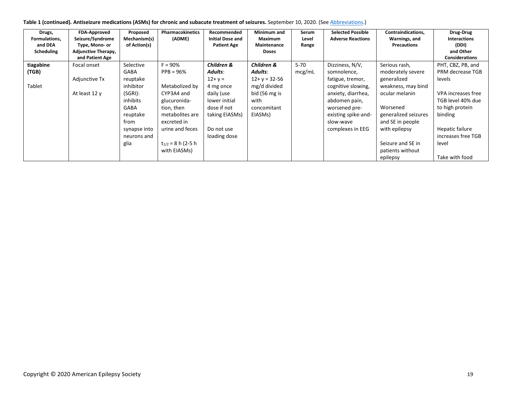| Table 1 (continued). Antiseizure medications (ASMs) for chronic and subacute treatment of seizures. September 10, 2020. (See Abbreviations.) |  |  |
|----------------------------------------------------------------------------------------------------------------------------------------------|--|--|
|----------------------------------------------------------------------------------------------------------------------------------------------|--|--|

| <b>FDA-Approved</b><br>Drugs,<br>Seizure/Syndrome<br>Formulations,<br>and DEA<br>Type, Mono- or<br><b>Scheduling</b><br><b>Adjunctive Therapy,</b><br>and Patient Age | Proposed<br>Mechanism(s)<br>of Action(s)                                                                                                           | Pharmacokinetics<br>(ADME)                                                                                                                                                            | Recommended<br><b>Initial Dose and</b><br><b>Patient Age</b>                                                                                   | Minimum and<br>Maximum<br>Maintenance<br><b>Doses</b>                                                          | Serum<br>Level<br>Range | <b>Selected Possible</b><br><b>Adverse Reactions</b>                                                                                                                                     | Contraindications,<br>Warnings, and<br><b>Precautions</b>                                                                                                                                                               | Drug-Drug<br><b>Interactions</b><br>(DDI)<br>and Other<br><b>Considerations</b>                                                                                                              |
|-----------------------------------------------------------------------------------------------------------------------------------------------------------------------|----------------------------------------------------------------------------------------------------------------------------------------------------|---------------------------------------------------------------------------------------------------------------------------------------------------------------------------------------|------------------------------------------------------------------------------------------------------------------------------------------------|----------------------------------------------------------------------------------------------------------------|-------------------------|------------------------------------------------------------------------------------------------------------------------------------------------------------------------------------------|-------------------------------------------------------------------------------------------------------------------------------------------------------------------------------------------------------------------------|----------------------------------------------------------------------------------------------------------------------------------------------------------------------------------------------|
| tiagabine<br>Focal onset<br>(TGB)<br>Adjunctive Tx<br>Tablet<br>At least 12 y                                                                                         | Selective<br><b>GABA</b><br>reuptake<br>inhibitor<br>(SGRI):<br>inhibits<br><b>GABA</b><br>reuptake<br>from<br>synapse into<br>neurons and<br>glia | $F = 90%$<br>$PPB = 96%$<br>Metabolized by<br>CYP3A4 and<br>glucuronida-<br>tion, then<br>metabolites are<br>excreted in<br>urine and feces<br>$t_{1/2}$ = 8 h (2-5 h<br>with EIASMs) | Children &<br>Adults:<br>$12 + y =$<br>4 mg once<br>daily (use<br>lower initial<br>dose if not<br>taking EIASMs)<br>Do not use<br>loading dose | Children &<br>Adults:<br>$12 + y = 32 - 56$<br>mg/d divided<br>bid (56 mg is<br>with<br>concomitant<br>EIASMs) | $5 - 70$<br>mcg/mL      | Dizziness, N/V,<br>somnolence,<br>fatigue, tremor,<br>cognitive slowing,<br>anxiety, diarrhea,<br>abdomen pain,<br>worsened pre-<br>existing spike-and-<br>slow-wave<br>complexes in EEG | Serious rash,<br>moderately severe<br>generalized<br>weakness, may bind<br>ocular melanin<br>Worsened<br>generalized seizures<br>and SE in people<br>with epilepsy<br>Seizure and SE in<br>patients without<br>epilepsy | PHT, CBZ, PB, and<br>PRM decrease TGB<br>levels<br>VPA increases free<br>TGB level 40% due<br>to high protein<br>binding<br>Hepatic failure<br>increases free TGB<br>level<br>Take with food |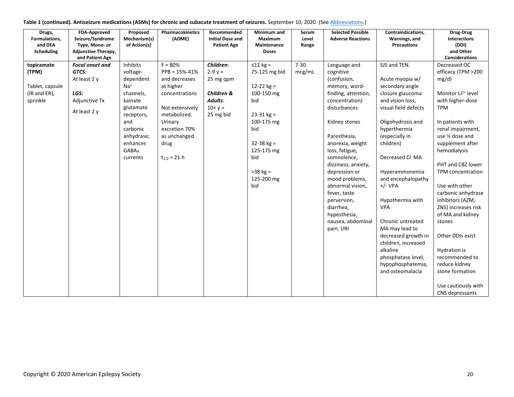| Table 1 (continued). Antiseizure medications (ASMs) for chronic and subacute treatment of seizures. September 10, 2020. (See Abbreviations.) |  |  |  |
|----------------------------------------------------------------------------------------------------------------------------------------------|--|--|--|
|----------------------------------------------------------------------------------------------------------------------------------------------|--|--|--|

| Drugs,<br>Formulations,<br>and DEA | FDA-Approved<br>Seizure/Syndrome<br>Type, Mono- or | Proposed<br>Mechanism(s)<br>of Action(s) | Pharmacokinetics<br>(ADME) | Recommended<br><b>Initial Dose and</b><br><b>Patient Age</b> | Minimum and<br>Maximum<br>Maintenance | Serum<br>Level<br>Range | <b>Selected Possible</b><br><b>Adverse Reactions</b> | Contraindications,<br>Warnings, and<br><b>Precautions</b> | Drug-Drug<br><b>Interactions</b><br>(DDI) |
|------------------------------------|----------------------------------------------------|------------------------------------------|----------------------------|--------------------------------------------------------------|---------------------------------------|-------------------------|------------------------------------------------------|-----------------------------------------------------------|-------------------------------------------|
| Scheduling                         | <b>Adjunctive Therapy,</b><br>and Patient Age      |                                          |                            |                                                              | <b>Doses</b>                          |                         |                                                      |                                                           | and Other<br><b>Considerations</b>        |
| topiramate                         | <b>Focal onset and</b>                             | Inhibits                                 | $F = 80%$                  | Children:                                                    | $\leq 11$ kg =                        | $7 - 30$                | Language and                                         | SJS and TEN.                                              | Decreased OC                              |
| (TPM)                              | GTCS:                                              | voltage-                                 | $PPB = 15% - 41%$          | $2 - 9y =$                                                   | 75-125 mg bid                         | mcg/mL                  | cognitive                                            |                                                           | efficacy (TPM >200                        |
|                                    | At least 2 y                                       | dependent                                | and decreases              | 25 mg qpm                                                    |                                       |                         | (confusion,                                          | Acute myopia w/                                           | mg/d)                                     |
| Tablet, capsule                    |                                                    | $Na+$                                    | at higher                  |                                                              | $12-22$ kg =                          |                         | memory, word-                                        | secondary angle                                           |                                           |
| $(IR and ER)$ ,                    | LGS:                                               | channels,                                | concentrations             | Children &                                                   | 100-150 mg                            |                         | finding, attention,                                  | closure glaucoma                                          | Monitor Li <sup>2+</sup> level            |
| sprinkle                           | Adjunctive Tx                                      | kainate                                  |                            | Adults:                                                      | bid                                   |                         | concentration)                                       | and vision loss,                                          | with higher-dose                          |
|                                    | At least 2 y                                       | glutamate                                | Not extensively            | $10 + y =$                                                   |                                       |                         | disturbances                                         | visual field defects                                      | <b>TPM</b>                                |
|                                    |                                                    | receptors,                               | metabolized.               | 25 mg bid                                                    | $23 - 31$ kg =                        |                         |                                                      |                                                           |                                           |
|                                    |                                                    | and                                      | Urinary                    |                                                              | 100-175 mg                            |                         | Kidney stones                                        | Oligohydrosis and                                         | In patients with                          |
|                                    |                                                    | carbonic                                 | excretion 70%              |                                                              | bid                                   |                         |                                                      | hyperthermia                                              | renal impairment,                         |
|                                    |                                                    | anhydrase;                               | as unchanged               |                                                              |                                       |                         | Paresthesia,                                         | (especially in                                            | use 1/2 dose and                          |
|                                    |                                                    | enhances                                 | drug                       |                                                              | $32 - 38$ kg =                        |                         | anorexia, weight                                     | children)                                                 | supplement after                          |
|                                    |                                                    | <b>GABA</b> <sub>A</sub>                 |                            |                                                              | 125-175 mg                            |                         | loss, fatigue,                                       |                                                           | hemodialysis                              |
|                                    |                                                    | currents                                 | $t_{1/2} = 21 h$           |                                                              | bid                                   |                         | somnolence,                                          | Decreased Cl <sup>-</sup> MA                              | PHT and CBZ lower                         |
|                                    |                                                    |                                          |                            |                                                              | $>38$ kg =                            |                         | dizziness, anxiety,<br>depression or                 | Hyperammonemia                                            | TPM concentration                         |
|                                    |                                                    |                                          |                            |                                                              | 125-200 mg                            |                         |                                                      |                                                           |                                           |
|                                    |                                                    |                                          |                            |                                                              | bid                                   |                         | mood problems,<br>abnormal vision,                   | and encephalopathy<br>$+/- VPA$                           | Use with other                            |
|                                    |                                                    |                                          |                            |                                                              |                                       |                         | fever, taste                                         |                                                           | carbonic anhydrase                        |
|                                    |                                                    |                                          |                            |                                                              |                                       |                         | perversion,                                          | Hypothermia with                                          | inhibitors (AZM,                          |
|                                    |                                                    |                                          |                            |                                                              |                                       |                         | diarrhea,                                            | <b>VPA</b>                                                | ZNS) increases risk                       |
|                                    |                                                    |                                          |                            |                                                              |                                       |                         | hypesthesia,                                         |                                                           | of MA and kidney                          |
|                                    |                                                    |                                          |                            |                                                              |                                       |                         | nausea, abdominal                                    | Chronic untreated                                         | stones                                    |
|                                    |                                                    |                                          |                            |                                                              |                                       |                         | pain, URI                                            | MA may lead to                                            |                                           |
|                                    |                                                    |                                          |                            |                                                              |                                       |                         |                                                      | decreased growth in                                       | Other DDIs exist                          |
|                                    |                                                    |                                          |                            |                                                              |                                       |                         |                                                      | children, increased                                       |                                           |
|                                    |                                                    |                                          |                            |                                                              |                                       |                         |                                                      | alkaline                                                  | Hydration is                              |
|                                    |                                                    |                                          |                            |                                                              |                                       |                         |                                                      | phosphatase level,                                        | recommended to                            |
|                                    |                                                    |                                          |                            |                                                              |                                       |                         |                                                      | hypophosphatemia,                                         | reduce kidney                             |
|                                    |                                                    |                                          |                            |                                                              |                                       |                         |                                                      | and osteomalacia                                          | stone formation                           |
|                                    |                                                    |                                          |                            |                                                              |                                       |                         |                                                      |                                                           | Use cautiously with<br>CNS depressants    |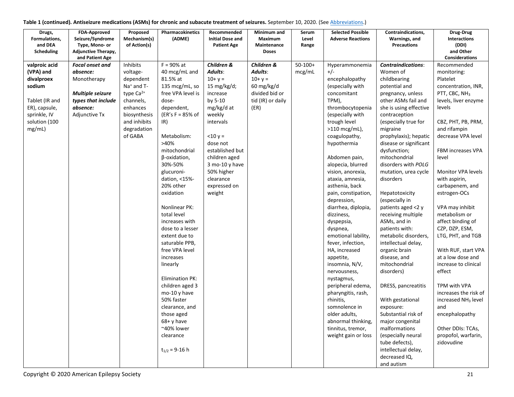| Drugs,<br>Formulations, | FDA-Approved<br>Seizure/Syndrome | Proposed<br>Mechanism(s) | Pharmacokinetics<br>(ADME)       | Recommended<br><b>Initial Dose and</b> | Minimum and<br>Maximum | Serum<br>Level | <b>Selected Possible</b><br><b>Adverse Reactions</b> | Contraindications,<br>Warnings, and         | Drug-Drug<br>Interactions                |
|-------------------------|----------------------------------|--------------------------|----------------------------------|----------------------------------------|------------------------|----------------|------------------------------------------------------|---------------------------------------------|------------------------------------------|
| and DEA                 | Type, Mono- or                   | of Action(s)             |                                  | <b>Patient Age</b>                     | Maintenance            | Range          |                                                      | <b>Precautions</b>                          | (DDI)                                    |
| Scheduling              | Adjunctive Therapy,              |                          |                                  |                                        | <b>Doses</b>           |                |                                                      |                                             | and Other                                |
|                         | and Patient Age                  |                          |                                  |                                        |                        |                |                                                      |                                             | <b>Considerations</b>                    |
| valproic acid           | <b>Focal onset and</b>           | Inhibits                 | $F = 90\%$ at                    | Children &                             | Children &             | $50 - 100 +$   | Hyperammonemia                                       | <b>Contraindications:</b>                   | Recommended                              |
| (VPA) and               | absence:                         | voltage-                 | 40 mcg/mL and                    | Adults:                                | Adults:                | mcg/mL         | $+/-$                                                | Women of                                    | monitoring:                              |
| divalproex              | Monotherapy                      | dependent                | 81.5% at                         | $10 + y =$                             | $10 + y =$             |                | encephalopathy                                       | childbearing                                | Platelet                                 |
| sodium                  |                                  | Na <sup>+</sup> and T-   | 135 mcg/mL, so                   | 15 mg/kg/d;                            | 60 mg/kg/d             |                | (especially with                                     | potential and                               | concentration, INR,                      |
|                         | <b>Multiple seizure</b>          | type Ca <sup>2+</sup>    | free VPA level is                | increase                               | divided bid or         |                | concomitant                                          | pregnancy, unless                           | PTT, CBC, NH <sub>3</sub>                |
| Tablet (IR and          | types that include               | channels,                | dose-                            | by 5-10                                | tid (IR) or daily      |                | TPM),                                                | other ASMs fail and                         | levels, liver enzyme                     |
| ER), capsule,           | absence:                         | enhances                 | dependent,                       | mg/kg/d at                             | (ER)                   |                | thrombocytopenia                                     | she is using effective                      | levels                                   |
| sprinkle, IV            | Adjunctive Tx                    | biosynthesis             | $(ER's F = 85% of$               | weekly                                 |                        |                | (especially with                                     | contraception                               |                                          |
| solution (100           |                                  | and inhibits             | IR)                              | intervals                              |                        |                | trough level                                         | (especially true for                        | CBZ, PHT, PB, PRM,                       |
| mg/mL)                  |                                  | degradation              |                                  |                                        |                        |                | $>110$ mcg/mL),                                      | migraine                                    | and rifampin                             |
|                         |                                  | of GABA                  | Metabolism:                      | $< 10 y =$                             |                        |                | coagulopathy,                                        | prophylaxis); hepatic                       | decrease VPA level                       |
|                         |                                  |                          | >40%                             | dose not                               |                        |                | hypothermia                                          | disease or significant                      |                                          |
|                         |                                  |                          | mitochondrial                    | established but                        |                        |                |                                                      | dysfunction;                                | FBM increases VPA                        |
|                         |                                  |                          | β-oxidation,                     | children aged                          |                        |                | Abdomen pain,                                        | mitochondrial                               | level                                    |
|                         |                                  |                          | 30%-50%                          | 3 mo-10 y have                         |                        |                | alopecia, blurred                                    | disorders with POLG                         |                                          |
|                         |                                  |                          | glucuroni-                       | 50% higher                             |                        |                | vision, anorexia,                                    | mutation, urea cycle                        | Monitor VPA levels                       |
|                         |                                  |                          | dation, <15%-                    | clearance                              |                        |                | ataxia, amnesia,                                     | disorders                                   | with aspirin,                            |
|                         |                                  |                          | 20% other                        | expressed on                           |                        |                | asthenia, back                                       |                                             | carbapenem, and                          |
|                         |                                  |                          | oxidation                        | weight                                 |                        |                | pain, constipation,                                  | Hepatotoxicity                              | estrogen-OCs                             |
|                         |                                  |                          |                                  |                                        |                        |                | depression,                                          | (especially in                              |                                          |
|                         |                                  |                          | Nonlinear PK:                    |                                        |                        |                | diarrhea, diplopia,                                  | patients aged <2 y                          | VPA may inhibit                          |
|                         |                                  |                          | total level                      |                                        |                        |                | dizziness,                                           | receiving multiple                          | metabolism or                            |
|                         |                                  |                          | increases with                   |                                        |                        |                | dyspepsia,                                           | ASMs, and in                                | affect binding of                        |
|                         |                                  |                          | dose to a lesser                 |                                        |                        |                | dyspnea,                                             | patients with:                              | CZP, DZP, ESM,                           |
|                         |                                  |                          | extent due to                    |                                        |                        |                | emotional lability,                                  | metabolic disorders,<br>intellectual delay, | LTG, PHT, and TGB                        |
|                         |                                  |                          | saturable PPB,<br>free VPA level |                                        |                        |                | fever, infection,<br>HA, increased                   |                                             |                                          |
|                         |                                  |                          | increases                        |                                        |                        |                |                                                      | organic brain<br>disease, and               | With RUF, start VPA<br>at a low dose and |
|                         |                                  |                          | linearly                         |                                        |                        |                | appetite,<br>insomnia, N/V,                          | mitochondrial                               | increase to clinical                     |
|                         |                                  |                          |                                  |                                        |                        |                | nervousness,                                         | disorders)                                  | effect                                   |
|                         |                                  |                          | <b>Elimination PK:</b>           |                                        |                        |                | nystagmus,                                           |                                             |                                          |
|                         |                                  |                          | children aged 3                  |                                        |                        |                | peripheral edema,                                    | DRESS, pancreatitis                         | TPM with VPA                             |
|                         |                                  |                          | mo-10 y have                     |                                        |                        |                | pharyngitis, rash,                                   |                                             | increases the risk of                    |
|                         |                                  |                          | 50% faster                       |                                        |                        |                | rhinitis,                                            | With gestational                            | increased NH <sub>3</sub> level          |
|                         |                                  |                          | clearance, and                   |                                        |                        |                | somnolence in                                        | exposure:                                   | and                                      |
|                         |                                  |                          | those aged                       |                                        |                        |                | older adults,                                        | Substantial risk of                         | encephalopathy                           |
|                         |                                  |                          | $68 + y$ have                    |                                        |                        |                | abnormal thinking,                                   | major congenital                            |                                          |
|                         |                                  |                          | ~40% lower                       |                                        |                        |                | tinnitus, tremor,                                    | malformations                               | Other DDIs: TCAs,                        |
|                         |                                  |                          | clearance                        |                                        |                        |                | weight gain or loss                                  | (especially neural                          | propofol, warfarin,                      |
|                         |                                  |                          |                                  |                                        |                        |                |                                                      | tube defects),                              | zidovudine                               |
|                         |                                  |                          | $t_{1/2}$ = 9-16 h               |                                        |                        |                |                                                      | intellectual delay,                         |                                          |
|                         |                                  |                          |                                  |                                        |                        |                |                                                      | decreased IQ,                               |                                          |
|                         |                                  |                          |                                  |                                        |                        |                |                                                      | and autism                                  |                                          |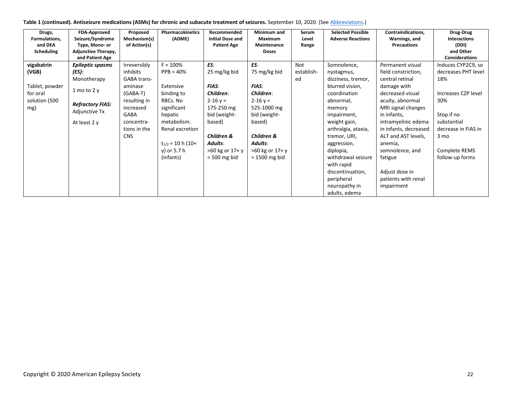| Table 1 (continued). Antiseizure medications (ASMs) for chronic and subacute treatment of seizures. September 10, 2020. (See Abbreviations.) |  |  |
|----------------------------------------------------------------------------------------------------------------------------------------------|--|--|
|----------------------------------------------------------------------------------------------------------------------------------------------|--|--|

| Drugs,<br>Formulations, | FDA-Approved<br>Seizure/Syndrome              | Proposed<br>Mechanism(s) | Pharmacokinetics<br>(ADME) | Recommended<br><b>Initial Dose and</b> | Minimum and<br>Maximum | Serum<br>Level | <b>Selected Possible</b><br><b>Adverse Reactions</b> | Contraindications,<br>Warnings, and | Drug-Drug<br><b>Interactions</b>   |
|-------------------------|-----------------------------------------------|--------------------------|----------------------------|----------------------------------------|------------------------|----------------|------------------------------------------------------|-------------------------------------|------------------------------------|
| and DEA                 | Type, Mono- or                                | of Action(s)             |                            | <b>Patient Age</b>                     | Maintenance            | Range          |                                                      | <b>Precautions</b>                  | (DDI)                              |
| Scheduling              | <b>Adjunctive Therapy,</b><br>and Patient Age |                          |                            |                                        | <b>Doses</b>           |                |                                                      |                                     | and Other<br><b>Considerations</b> |
| vigabatrin              | <b>Epileptic spasms</b>                       | Irreversibly             | $F = 100%$                 | ES:                                    | ES:                    | Not            | Somnolence,                                          | Permanent visual                    | Induces CYP2C9, so                 |
| (VGB)                   | (ES):                                         | inhibits                 | $PPB = 40%$                | 25 mg/kg bid                           | 75 mg/kg bid           | establish-     | nystagmus,                                           | field constriction,                 | decreases PHT level                |
|                         | Monotherapy                                   | <b>GABA trans-</b>       |                            |                                        |                        | ed             | dizziness, tremor,                                   | central retinal                     | 18%                                |
| Tablet, powder          |                                               | aminase                  | Extensive                  | <b>FIAS:</b>                           | <b>FIAS:</b>           |                | blurred vision,                                      | damage with                         |                                    |
| for oral                | 1 mo to 2 $y$                                 | (GABA-T)                 | binding to                 | Children:                              | Children:              |                | coordination                                         | decreased visual                    | Increases CZP level                |
| solution (500           | <b>Refractory FIAS:</b>                       | resulting in             | RBCs. No                   | $2 - 16y =$                            | $2 - 16y =$            |                | abnormal,                                            | acuity, abnormal                    | 30%                                |
| mg)                     | Adjunctive Tx                                 | increased                | significant                | 175-250 mg                             | 525-1000 mg            |                | memory                                               | MRI signal changes                  |                                    |
|                         |                                               | <b>GABA</b>              | hepatic                    | bid (weight-                           | bid (weight-           |                | impairment,                                          | in infants,                         | Stop if no                         |
|                         | At least 2 y                                  | concentra-               | metabolism.                | based)                                 | based)                 |                | weight gain,                                         | intramyelinic edema                 | substantial                        |
|                         |                                               | tions in the             | Renal excretion            |                                        |                        |                | arthralgia, ataxia,                                  | in infants, decreased               | decrease in FIAS in                |
|                         |                                               | <b>CNS</b>               |                            | Children &                             | Children &             |                | tremor, URI,                                         | ALT and AST levels,                 | 3 mo                               |
|                         |                                               |                          | $t_{1/2}$ = 10 h (10+      | <b>Adults:</b>                         | Adults:                |                | aggression,                                          | anemia,                             |                                    |
|                         |                                               |                          | y) or 5.7 h                | >60 kg or 17+ y                        | >60 kg or 17+ y        |                | diplopia,                                            | somnolence, and                     | Complete REMS                      |
|                         |                                               |                          | (infants)                  | $= 500$ mg bid                         | $= 1500$ mg bid        |                | withdrawal seizure                                   | fatigue                             | follow-up forms                    |
|                         |                                               |                          |                            |                                        |                        |                | with rapid                                           |                                     |                                    |
|                         |                                               |                          |                            |                                        |                        |                | discontinuation,                                     | Adjust dose in                      |                                    |
|                         |                                               |                          |                            |                                        |                        |                | peripheral                                           | patients with renal                 |                                    |
|                         |                                               |                          |                            |                                        |                        |                | neuropathy in                                        | impairment                          |                                    |
|                         |                                               |                          |                            |                                        |                        |                | adults, edema                                        |                                     |                                    |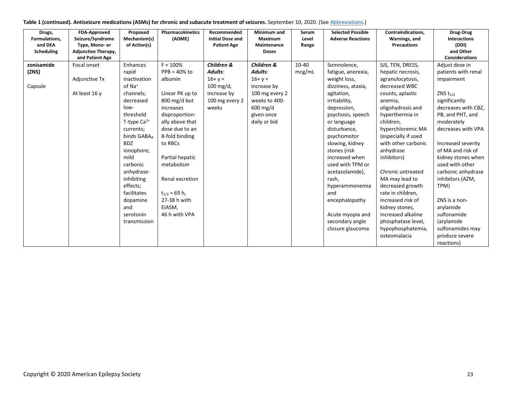| Table 1 (continued). Antiseizure medications (ASMs) for chronic and subacute treatment of seizures. September 10, 2020. (See Abbreviations.) |  |
|----------------------------------------------------------------------------------------------------------------------------------------------|--|
|----------------------------------------------------------------------------------------------------------------------------------------------|--|

| Drugs,<br>Formulations,<br>and DEA<br>Scheduling | <b>FDA-Approved</b><br>Seizure/Syndrome<br>Type, Mono- or<br><b>Adjunctive Therapy,</b><br>and Patient Age | Proposed<br>Mechanism(s)<br>of Action(s)                                                                                                                                                                                                                                                                                    | Pharmacokinetics<br>(ADME)                                                                                                                                                                                                                                                                       | Recommended<br><b>Initial Dose and</b><br><b>Patient Age</b>                                          | Minimum and<br>Maximum<br>Maintenance<br><b>Doses</b>                                                                           | Serum<br>Level<br>Range | <b>Selected Possible</b><br><b>Adverse Reactions</b>                                                                                                                                                                                                                                                                                                                            | Contraindications,<br>Warnings, and<br><b>Precautions</b>                                                                                                                                                                                                                                                                                                                                                                        | Drug-Drug<br>Interactions<br>(DDI)<br>and Other<br><b>Considerations</b>                                                                                                                                                                                                                                                                                              |
|--------------------------------------------------|------------------------------------------------------------------------------------------------------------|-----------------------------------------------------------------------------------------------------------------------------------------------------------------------------------------------------------------------------------------------------------------------------------------------------------------------------|--------------------------------------------------------------------------------------------------------------------------------------------------------------------------------------------------------------------------------------------------------------------------------------------------|-------------------------------------------------------------------------------------------------------|---------------------------------------------------------------------------------------------------------------------------------|-------------------------|---------------------------------------------------------------------------------------------------------------------------------------------------------------------------------------------------------------------------------------------------------------------------------------------------------------------------------------------------------------------------------|----------------------------------------------------------------------------------------------------------------------------------------------------------------------------------------------------------------------------------------------------------------------------------------------------------------------------------------------------------------------------------------------------------------------------------|-----------------------------------------------------------------------------------------------------------------------------------------------------------------------------------------------------------------------------------------------------------------------------------------------------------------------------------------------------------------------|
| zonisamide<br>(ZNS)<br>Capsule                   | Focal onset<br>Adjunctive Tx<br>At least 16 y                                                              | Enhances<br>rapid<br>inactivation<br>of Na <sup>+</sup><br>channels;<br>decreased<br>$low-$<br>threshold<br>T-type $Ca^{2+}$<br>currents;<br>binds GABA <sub>4</sub><br><b>BDZ</b><br>ionophore;<br>mild<br>carbonic<br>anhydrase-<br>inhibiting<br>effects;<br>facilitates<br>dopamine<br>and<br>serotonin<br>transmission | $F = 100%$<br>$PPB = 40\%$ to<br>albumin<br>Linear PK up to<br>800 mg/d but<br>increases<br>disproportion-<br>ally above that<br>dose due to an<br>8-fold binding<br>to RBCs<br>Partial hepatic<br>metabolism<br>Renal excretion<br>$t_{1/2}$ = 69 h,<br>27-38 h with<br>EIASM,<br>46 h with VPA | Children &<br>Adults:<br>$16 + y =$<br>$100 \text{ mg/d}$ ,<br>increase by<br>100 mg every 2<br>weeks | Children &<br>Adults:<br>$16 + y =$<br>increase by<br>100 mg every 2<br>weeks to 400-<br>600 mg/d<br>given once<br>daily or bid | $10 - 40$<br>mcg/mL     | Somnolence,<br>fatigue, anorexia,<br>weight loss,<br>dizziness, ataxia,<br>agitation,<br>irritability,<br>depression,<br>psychosis, speech<br>or language<br>disturbance,<br>psychomotor<br>slowing, kidney<br>stones (risk<br>increased when<br>used with TPM or<br>acetazolamide),<br>rash.<br>hyperammonemia<br>and<br>encephalopathy<br>Acute myopia and<br>secondary angle | SJS, TEN, DRESS,<br>hepatic necrosis,<br>agranulocytosis,<br>decreased WBC<br>counts, aplastic<br>anemia,<br>oligohydrosis and<br>hyperthermia in<br>children,<br>hyperchloremic MA<br>(especially if used<br>with other carbonic<br>anhydrase<br>inhibitors)<br>Chronic untreated<br>MA may lead to<br>decreased growth<br>rate in children,<br>increased risk of<br>kidney stones,<br>increased alkaline<br>phosphatase level, | Adjust dose in<br>patients with renal<br>impairment<br>ZNS $t_{1/2}$<br>significantly<br>decreases with CBZ,<br>PB, and PHT, and<br>moderately<br>decreases with VPA<br>Increased severity<br>of MA and risk of<br>kidney stones when<br>used with other<br>carbonic anhydrase<br>inhibitors (AZM,<br>TPM)<br>ZNS is a non-<br>arylamide<br>sulfonamide<br>(arylamide |
|                                                  |                                                                                                            |                                                                                                                                                                                                                                                                                                                             |                                                                                                                                                                                                                                                                                                  |                                                                                                       |                                                                                                                                 |                         | closure glaucoma                                                                                                                                                                                                                                                                                                                                                                | hypophosphatemia,<br>osteomalacia                                                                                                                                                                                                                                                                                                                                                                                                | sulfonamides may<br>produce severe<br>reactions)                                                                                                                                                                                                                                                                                                                      |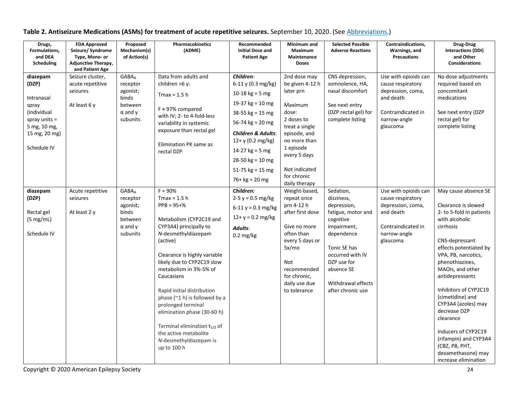| Drugs,<br>Formulations,<br>and DEA<br>Scheduling                                                                           | <b>FDA Approved</b><br>Seizure/ Syndrome<br>Type, Mono- or<br><b>Adjunctive Therapy,</b><br>and Patient Age | Proposed<br>Mechanism(s)<br>of Action(s)                                                                  | Pharmacokinetics<br>(ADME)                                                                                                                                                                                                                                                                                                                                                                                                                                                 | Recommended<br><b>Initial Dose and</b><br><b>Patient Age</b>                                                                                                                                                                                                       | Minimum and<br>Maximum<br>Maintenance<br>Doses                                                                                                                                                                 | <b>Selected Possible</b><br><b>Adverse Reactions</b>                                                                                                                                                               | Contraindications,<br>Warnings, and<br><b>Precautions</b>                                                                     | Drug-Drug<br><b>Interactions (DDI)</b><br>and Other<br><b>Considerations</b>                                                                                                                                                                                                                                                                                                                                                                         |
|----------------------------------------------------------------------------------------------------------------------------|-------------------------------------------------------------------------------------------------------------|-----------------------------------------------------------------------------------------------------------|----------------------------------------------------------------------------------------------------------------------------------------------------------------------------------------------------------------------------------------------------------------------------------------------------------------------------------------------------------------------------------------------------------------------------------------------------------------------------|--------------------------------------------------------------------------------------------------------------------------------------------------------------------------------------------------------------------------------------------------------------------|----------------------------------------------------------------------------------------------------------------------------------------------------------------------------------------------------------------|--------------------------------------------------------------------------------------------------------------------------------------------------------------------------------------------------------------------|-------------------------------------------------------------------------------------------------------------------------------|------------------------------------------------------------------------------------------------------------------------------------------------------------------------------------------------------------------------------------------------------------------------------------------------------------------------------------------------------------------------------------------------------------------------------------------------------|
| diazepam<br>(DZP)<br>Intranasal<br>spray<br>(individual<br>spray units $=$<br>5 mg, 10 mg,<br>15 mg, 20 mg)<br>Schedule IV | Seizure cluster,<br>acute repetitive<br>seizures<br>At least 6 y                                            | <b>GABA</b> <sub>A</sub><br>receptor<br>agonist;<br>binds<br>between<br>$\alpha$ and $\gamma$<br>subunits | Data from adults and<br>children >6 y:<br>$Tmax = 1.5 h$<br>$F = 97%$ compared<br>with IV; 2- to 4-fold-less<br>variability in systemic<br>exposure than rectal gel<br>Elimination PK same as<br>rectal DZP                                                                                                                                                                                                                                                                | Children:<br>6-11 y (0.3 mg/kg)<br>10-18 $kg = 5 mg$<br>19-37 $kg = 10$ mg<br>38-55 $kg = 15 mg$<br>56-74 $kg = 20$ mg<br><b>Children &amp; Adults:</b><br>12+ y (0.2 mg/kg)<br>14-27 $kg = 5 mg$<br>28-50 $kg = 10$ mg<br>51-75 $kg = 15$ mg<br>$76 + kg = 20 mg$ | 2nd dose may<br>be given 4-12 h<br>later prn<br>Maximum<br>dose:<br>2 doses to<br>treat a single<br>episode, and<br>no more than<br>1 episode<br>every 5 days<br>Not indicated<br>for chronic<br>daily therapy | CNS depression,<br>somnolence, HA,<br>nasal discomfort<br>See next entry<br>(DZP rectal gel) for<br>complete listing                                                                                               | Use with opioids can<br>cause respiratory<br>depression, coma,<br>and death<br>Contraindicated in<br>narrow-angle<br>glaucoma | No dose adjustments<br>required based on<br>concomitant<br>medications<br>See next entry (DZP<br>rectal gel) for<br>complete listing                                                                                                                                                                                                                                                                                                                 |
| diazepam<br>(DZP)<br>Rectal gel<br>(5 mg/mL)<br>Schedule IV                                                                | Acute repetitive<br>seizures<br>At least 2 y                                                                | <b>GABA</b> <sub>A</sub><br>receptor<br>agonist;<br>binds<br>between<br>$\alpha$ and $\gamma$<br>subunits | $F = 90%$<br>$Tmax = 1.5 h$<br>$PPB = 95 + \%$<br>Metabolism (CYP2C19 and<br>CYP3A4) principally to<br>N-desmethyldiazepam<br>(active)<br>Clearance is highly variable<br>likely due to CYP2C19 slow<br>metabolism in 3%-5% of<br>Caucasians<br>Rapid initial distribution<br>phase $(2 1 h)$ is followed by a<br>prolonged terminal<br>elimination phase (30-60 h)<br>Terminal elimination $t_{1/2}$ of<br>the active metabolite<br>N-desmethyldiazepam is<br>up to 100 h | Children:<br>$2-5 y = 0.5 mg/kg$<br>$6-11 y = 0.3$ mg/kg<br>$12 + y = 0.2$ mg/kg<br>Adults:<br>$0.2 \text{ mg/kg}$                                                                                                                                                 | Weight-based,<br>repeat once<br>prn 4-12 h<br>after first dose<br>Give no more<br>often than<br>every 5 days or<br>5x/mo<br>Not<br>recommended<br>for chronic,<br>daily use due<br>to tolerance                | Sedation,<br>dizziness,<br>depression,<br>fatigue, motor and<br>cognitive<br>impairment,<br>dependence<br>Tonic SE has<br>occurred with IV<br>DZP use for<br>absence SE<br>Withdrawal effects<br>after chronic use | Use with opioids can<br>cause respiratory<br>depression, coma,<br>and death<br>Contraindicated in<br>narrow-angle<br>glaucoma | May cause absence SE<br>Clearance is slowed<br>2- to 5-fold in patients<br>with alcoholic<br>cirrhosis<br>CNS-depressant<br>effects potentiated by<br>VPA, PB, narcotics,<br>phenothiazines,<br>MAOIs, and other<br>antidepressants<br>Inhibitors of CYP2C19<br>(cimetidine) and<br>CYP3A4 (azoles) may<br>decrease DZP<br>clearance<br>Inducers of CYP2C19<br>(rifampin) and CYP3A4<br>(CBZ, PB, PHT,<br>dexamethasone) may<br>increase elimination |

# **Table 2. Antiseizure Medications (ASMs) for treatment of acute repetitive seizures.** September 10, 2020. (See [Abbreviations.](#page-26-0))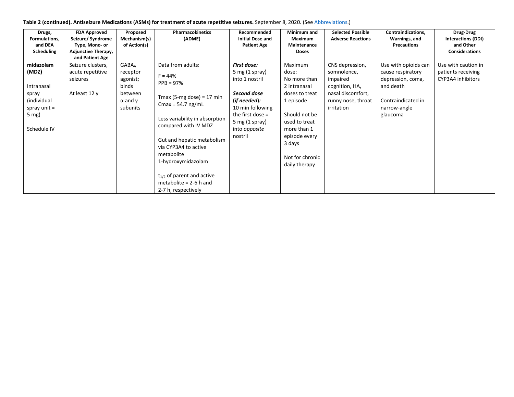| Drugs,<br>Formulations,<br>and DEA<br>Scheduling                                                     | <b>FDA Approved</b><br>Seizure/ Syndrome<br>Type, Mono- or<br><b>Adjunctive Therapy,</b><br>and Patient Age | Proposed<br>Mechanism(s)<br>of Action(s)                                                                  | <b>Pharmacokinetics</b><br>(ADME)                                                                                                                                                                                                                                                                                                          | Recommended<br><b>Initial Dose and</b><br><b>Patient Age</b>                                                                                                                      | Minimum and<br>Maximum<br>Maintenance<br><b>Doses</b>                                                                                                                                           | <b>Selected Possible</b><br><b>Adverse Reactions</b>                                                                  | Contraindications,<br>Warnings, and<br><b>Precautions</b>                                                                     | Drug-Drug<br><b>Interactions (DDI)</b><br>and Other<br><b>Considerations</b> |
|------------------------------------------------------------------------------------------------------|-------------------------------------------------------------------------------------------------------------|-----------------------------------------------------------------------------------------------------------|--------------------------------------------------------------------------------------------------------------------------------------------------------------------------------------------------------------------------------------------------------------------------------------------------------------------------------------------|-----------------------------------------------------------------------------------------------------------------------------------------------------------------------------------|-------------------------------------------------------------------------------------------------------------------------------------------------------------------------------------------------|-----------------------------------------------------------------------------------------------------------------------|-------------------------------------------------------------------------------------------------------------------------------|------------------------------------------------------------------------------|
| midazolam<br>(MDZ)<br>Intranasal<br>spray<br>(individual<br>spray unit $=$<br>$5$ mg)<br>Schedule IV | Seizure clusters,<br>acute repetitive<br>seizures<br>At least 12 y                                          | <b>GABA</b> <sub>A</sub><br>receptor<br>agonist;<br>binds<br>between<br>$\alpha$ and $\gamma$<br>subunits | Data from adults:<br>$F = 44%$<br>$PPB = 97%$<br>Tmax (5-mg dose) = 17 min<br>Cmax = $54.7$ ng/mL<br>Less variability in absorption<br>compared with IV MDZ<br>Gut and hepatic metabolism<br>via CYP3A4 to active<br>metabolite<br>1-hydroxymidazolam<br>$t_{1/2}$ of parent and active<br>metabolite = $2-6$ h and<br>2-7 h, respectively | <b>First dose:</b><br>5 mg $(1$ spray)<br>into 1 nostril<br>Second dose<br>(if needed):<br>10 min following<br>the first dose $=$<br>5 mg $(1$ spray)<br>into opposite<br>nostril | Maximum<br>dose:<br>No more than<br>2 intranasal<br>doses to treat<br>1 episode<br>Should not be<br>used to treat<br>more than 1<br>episode every<br>3 days<br>Not for chronic<br>daily therapy | CNS depression,<br>somnolence,<br>impaired<br>cognition, HA,<br>nasal discomfort,<br>runny nose, throat<br>irritation | Use with opioids can<br>cause respiratory<br>depression, coma,<br>and death<br>Contraindicated in<br>narrow-angle<br>glaucoma | Use with caution in<br>patients receiving<br>CYP3A4 inhibitors               |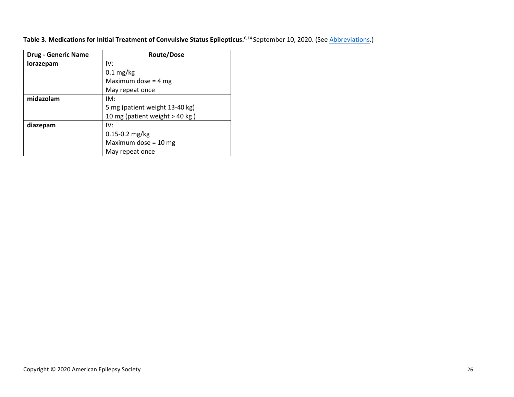| Table 3. Medications for Initial Treatment of Convulsive Status Epilepticus. <sup>6,14</sup> September 10, 2020. (See Abbreviations.) |  |  |  |
|---------------------------------------------------------------------------------------------------------------------------------------|--|--|--|
|---------------------------------------------------------------------------------------------------------------------------------------|--|--|--|

<span id="page-26-0"></span>

| <b>Drug - Generic Name</b> | <b>Route/Dose</b>              |
|----------------------------|--------------------------------|
| lorazepam                  | IV:                            |
|                            | $0.1 \text{ mg/kg}$            |
|                            | Maximum dose = $4 mg$          |
|                            | May repeat once                |
| midazolam                  | IM:                            |
|                            | 5 mg (patient weight 13-40 kg) |
|                            | 10 mg (patient weight > 40 kg) |
| diazepam                   | IV:                            |
|                            | 0.15-0.2 mg/kg                 |
|                            | Maximum dose = $10$ mg         |
|                            | May repeat once                |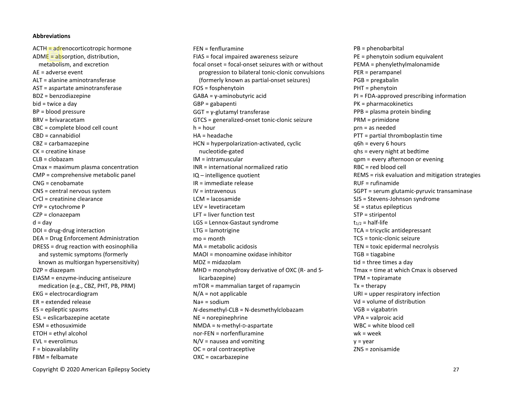ACTH = adrenocorticotropic hormone ADME = absorption, distribution, metabolism, and excretion AE = adverse event ALT = alanine aminotransferase AST = aspartate aminotransferase BDZ = benzodiazepine bid = twice a day BP = blood pressure BRV = brivaracetam CBC = complete blood cell count CBD = cannabidiol CBZ = carbamazepine CK = creatine kinase  $CI$  B = clobazam Cmax = maximum plasma concentration CMP = comprehensive metabolic panel CNG = cenobamate CNS = central nervous system CrCl = creatinine clearance CYP = cytochrome P CZP = clonazepam  $d = day$ DDI = drug-drug interaction DEA = Drug Enforcement Administration DRESS = drug reaction with eosinophilia and systemic symptoms (formerly known as multiorgan hypersensitivity) DZP = diazepam EIASM = enzyme-inducing antiseizure medication (e.g., CBZ, PHT, PB, PRM) EKG = electrocardiogram ER = extended release ES = epileptic spasms ESL = eslicarbazepine acetate ESM = ethosuximide ETOH = ethyl alcohol  $FVI = \epsilon v$ erolimus F = bioavailability FBM = felbamate

FEN = fenfluramine FIAS = focal impaired awareness seizure focal onset = focal-onset seizures with or without progression to bilateral tonic-clonic convulsions (formerly known as partial-onset seizures) FOS = fosphenytoin GABA = γ-aminobutyric acid GBP = gabapenti GGT = γ-glutamyl transferase GTCS = generalized-onset tonic-clonic seizure  $h = hour$ HA = headache HCN = hyperpolarization-activated, cyclic nucleotide-gated IM = intramuscular INR = international normalized ratio IQ – intelligence quotient IR = immediate release IV = intravenous LCM = lacosamide LEV = levetiracetam LFT = liver function test LGS = Lennox-Gastaut syndrome LTG = lamotrigine mo = month MA = metabolic acidosis MAOI = monoamine oxidase inhibitor MDZ = midazolam MHD = monohydroxy derivative of OXC (R- and Slicarbazepine) mTOR = mammalian target of rapamycin N/A = not applicable Na+ = sodium *N*-desmethyl-CLB = N-desmethylclobazam NE = norepinephrine NMDA = N-methyl-D-aspartate nor-FEN = norfenfluramine  $N/V$  = nausea and vomiting OC = oral contraceptive OXC = oxcarbazepine

PB = phenobarbital PE = phenytoin sodium equivalent PEMA = phenylethylmalonamide PER = perampanel PGB = pregabalin PHT = phenytoin PI = FDA-approved prescribing information PK = pharmacokinetics PPB = plasma protein binding PRM = primidone prn = as needed PTT = partial thromboplastin time q6h = every 6 hours qhs = every night at bedtime qpm = every afternoon or evening RBC = red blood cell REMS = risk evaluation and mitigation strategies RUF = rufinamide SGPT = serum glutamic-pyruvic transaminase SJS = Stevens-Johnson syndrome SE = status epilepticus STP = stiripentol  $t_{1/2}$  = half-life TCA = tricyclic antidepressant TCS = tonic-clonic seizure TEN = toxic epidermal necrolysis TGB = tiagabine tid = three times a day Tmax = time at which Cmax is observed TPM = topiramate  $Tx =$  therapy URI = upper respiratory infection Vd = volume of distribution VGB = vigabatrin VPA = valproic acid WBC = white blood cell wk = week  $v = vear$ ZNS = zonisamide

Copyright © 2020 American Epilepsy Society 27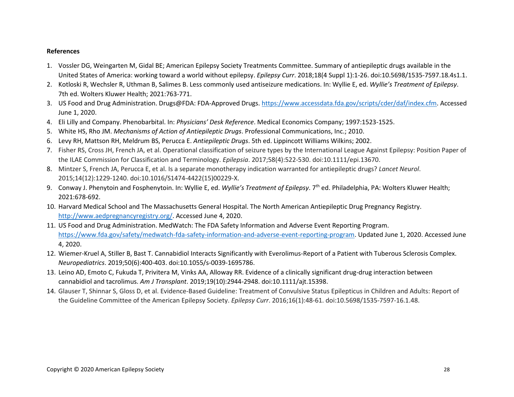## **References**

- <span id="page-28-0"></span>1. Vossler DG, Weingarten M, Gidal BE; American Epilepsy Society Treatments Committee. Summary of antiepileptic drugs available in the United States of America: working toward a world without epilepsy. *Epilepsy Curr*. 2018;18(4 Suppl 1):1-26. doi:10.5698/1535-7597.18.4s1.1.
- <span id="page-28-1"></span>2. Kotloski R, Wechsler R, Uthman B, Salimes B. Less commonly used antiseizure medications. In: Wyllie E, ed. *Wyllie's Treatment of Epilepsy*. 7th ed. Wolters Kluwer Health; 2021:763-771.
- <span id="page-28-2"></span>3. US Food and Drug Administration. Drugs@FDA: FDA-Approved Drugs. [https://www.accessdata.fda.gov/scripts/cder/daf/index.cfm.](https://www.accessdata.fda.gov/scripts/cder/daf/index.cfm) Accessed June 1, 2020.
- <span id="page-28-3"></span>4. Eli Lilly and Company. Phenobarbital. In: *Physicians' Desk Reference*. Medical Economics Company; 1997:1523-1525.
- <span id="page-28-4"></span>5. White HS, Rho JM. *Mechanisms of Action of Antiepileptic Drugs*. Professional Communications, Inc.; 2010.
- <span id="page-28-5"></span>6. Levy RH, Mattson RH, Meldrum BS, Perucca E. *Antiepileptic Drugs*. 5th ed. Lippincott Williams Wilkins; 2002.
- <span id="page-28-6"></span>7. Fisher RS, Cross JH, French JA, et al. Operational classification of seizure types by the International League Against Epilepsy: Position Paper of the ILAE Commission for Classification and Terminology. *Epilepsia*. 2017;58(4):522-530. doi:10.1111/epi.13670.
- <span id="page-28-7"></span>8. Mintzer S, French JA, Perucca E, et al. Is a separate monotherapy indication warranted for antiepileptic drugs? *Lancet Neurol*. 2015;14(12):1229-1240. doi:10.1016/S1474-4422(15)00229-X.
- <span id="page-28-8"></span>9. Conway J. Phenytoin and Fosphenytoin. In: Wyllie E, ed. *Wyllie's Treatment of Epilepsy*. 7th ed. Philadelphia, PA: Wolters Kluwer Health; 2021:678-692.
- <span id="page-28-9"></span>10. Harvard Medical School and The Massachusetts General Hospital. The North American Antiepileptic Drug Pregnancy Registry. [http://www.aedpregnancyregistry.org/.](http://www.aedpregnancyregistry.org/) Accessed June 4, 2020.
- <span id="page-28-10"></span>11. US Food and Drug Administration. MedWatch: The FDA Safety Information and Adverse Event Reporting Program. [https://www.fda.gov/safety/medwatch-fda-safety-information-and-adverse-event-reporting-program.](https://www.fda.gov/safety/medwatch-fda-safety-information-and-adverse-event-reporting-program) Updated June 1, 2020. Accessed June 4, 2020.
- <span id="page-28-11"></span>12. Wiemer-Kruel A, Stiller B, Bast T. Cannabidiol Interacts Significantly with Everolimus-Report of a Patient with Tuberous Sclerosis Complex. *Neuropediatrics*. 2019;50(6):400-403. doi:10.1055/s-0039-1695786.
- <span id="page-28-12"></span>13. Leino AD, Emoto C, Fukuda T, Privitera M, Vinks AA, Alloway RR. Evidence of a clinically significant drug-drug interaction between cannabidiol and tacrolimus. *Am J Transplant*. 2019;19(10):2944-2948. doi:10.1111/ajt.15398.
- <span id="page-28-13"></span>14. Glauser T, Shinnar S, Gloss D, et al. Evidence-Based Guideline: Treatment of Convulsive Status Epilepticus in Children and Adults: Report of the Guideline Committee of the American Epilepsy Society. *Epilepsy Curr*. 2016;16(1):48-61. doi:10.5698/1535-7597-16.1.48.